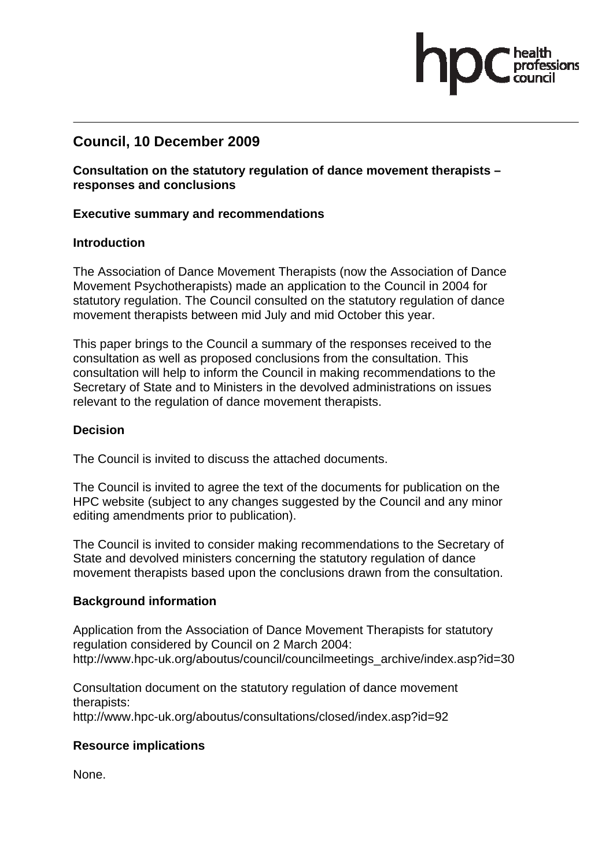# **Council, 10 December 2009**

**Consultation on the statutory regulation of dance movement therapists – responses and conclusions** 

#### **Executive summary and recommendations**

### **Introduction**

The Association of Dance Movement Therapists (now the Association of Dance Movement Psychotherapists) made an application to the Council in 2004 for statutory regulation. The Council consulted on the statutory regulation of dance movement therapists between mid July and mid October this year.

This paper brings to the Council a summary of the responses received to the consultation as well as proposed conclusions from the consultation. This consultation will help to inform the Council in making recommendations to the Secretary of State and to Ministers in the devolved administrations on issues relevant to the regulation of dance movement therapists.

### **Decision**

The Council is invited to discuss the attached documents.

The Council is invited to agree the text of the documents for publication on the HPC website (subject to any changes suggested by the Council and any minor editing amendments prior to publication).

The Council is invited to consider making recommendations to the Secretary of State and devolved ministers concerning the statutory regulation of dance movement therapists based upon the conclusions drawn from the consultation.

### **Background information**

Application from the Association of Dance Movement Therapists for statutory regulation considered by Council on 2 March 2004: http://www.hpc-uk.org/aboutus/council/councilmeetings\_archive/index.asp?id=30

Consultation document on the statutory regulation of dance movement therapists: http://www.hpc-uk.org/aboutus/consultations/closed/index.asp?id=92

### **Resource implications**

None.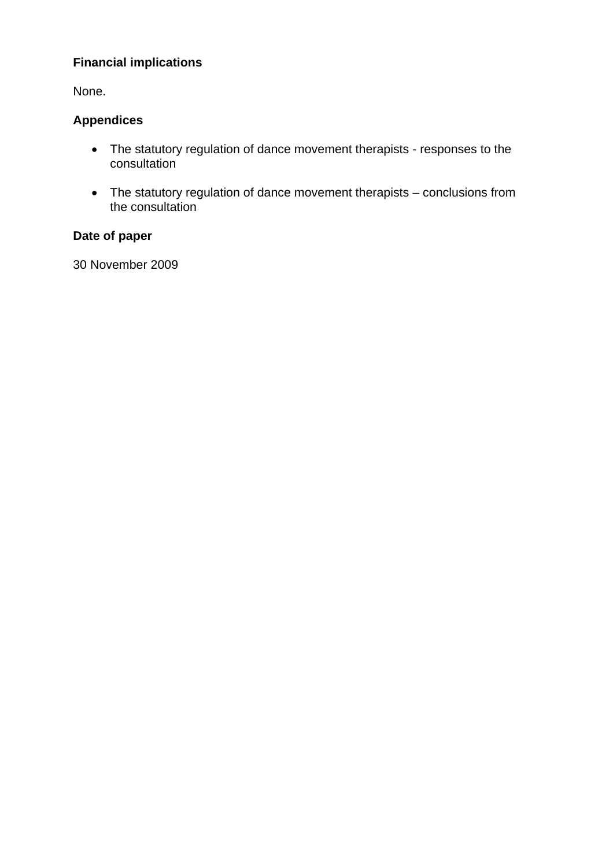# **Financial implications**

None.

# **Appendices**

- The statutory regulation of dance movement therapists responses to the consultation
- The statutory regulation of dance movement therapists conclusions from the consultation

# **Date of paper**

30 November 2009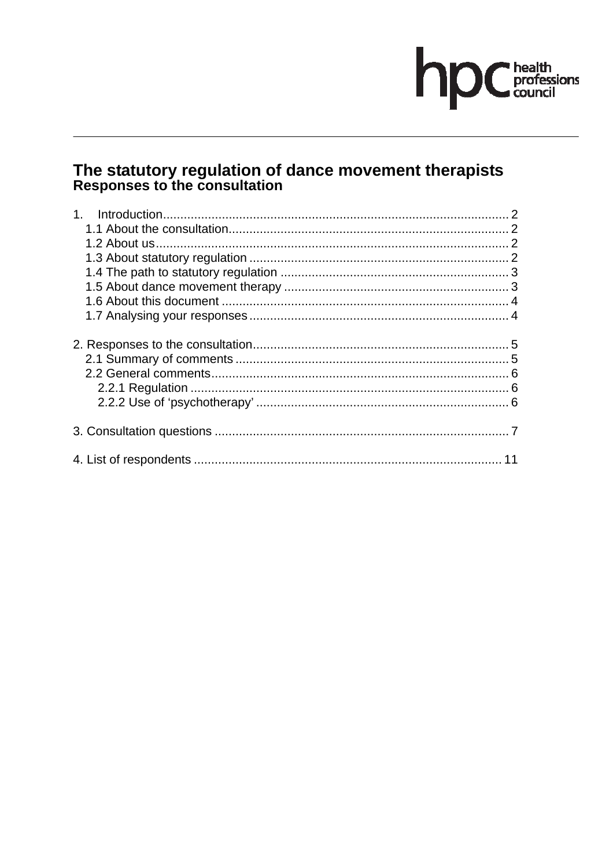# hp Chealth<br>council

# The statutory regulation of dance movement therapists<br>Responses to the consultation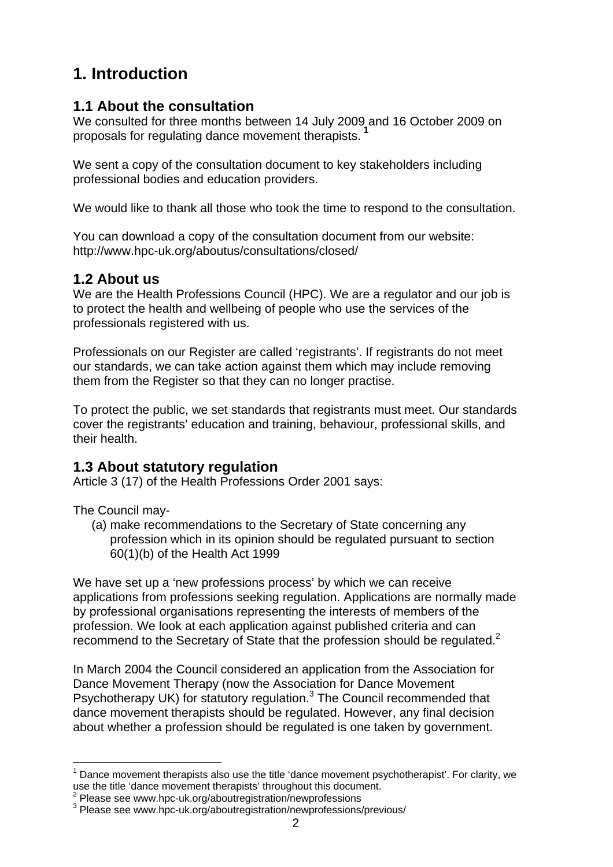# **1. Introduction**

# **1.1 About the consultation**

We consulted for three months between 14 July 2009 and 16 October 2009 on proposals for regulating dance movement therapists.**<sup>1</sup>**

We sent a copy of the consultation document to key stakeholders including professional bodies and education providers.

We would like to thank all those who took the time to respond to the consultation.

You can download a copy of the consultation document from our website: http://www.hpc-uk.org/aboutus/consultations/closed/

# **1.2 About us**

We are the Health Professions Council (HPC). We are a regulator and our job is to protect the health and wellbeing of people who use the services of the professionals registered with us.

Professionals on our Register are called 'registrants'. If registrants do not meet our standards, we can take action against them which may include removing them from the Register so that they can no longer practise.

To protect the public, we set standards that registrants must meet. Our standards cover the registrants' education and training, behaviour, professional skills, and their health.

# **1.3 About statutory regulation**

Article 3 (17) of the Health Professions Order 2001 says:

The Council may-

(a) make recommendations to the Secretary of State concerning any profession which in its opinion should be regulated pursuant to section 60(1)(b) of the Health Act 1999

We have set up a 'new professions process' by which we can receive applications from professions seeking regulation. Applications are normally made by professional organisations representing the interests of members of the profession. We look at each application against published criteria and can recommend to the Secretary of State that the profession should be regulated.<sup>2</sup>

In March 2004 the Council considered an application from the Association for Dance Movement Therapy (now the Association for Dance Movement Psychotherapy UK) for statutory regulation.<sup>3</sup> The Council recommended that dance movement therapists should be regulated. However, any final decision about whether a profession should be regulated is one taken by government.

 $1$  Dance movement therapists also use the title 'dance movement psychotherapist'. For clarity, we use the title 'dance movement therapists' throughout this document.

<sup>&</sup>lt;sup>2</sup> Please see www.hpc-uk.org/aboutregistration/newprofessions<br><sup>3</sup> Please ass unumbes uk arg/aboutregistration/newprofessions/

<sup>&</sup>lt;sup>3</sup> Please see www.hpc-uk.org/aboutregistration/newprofessions/previous/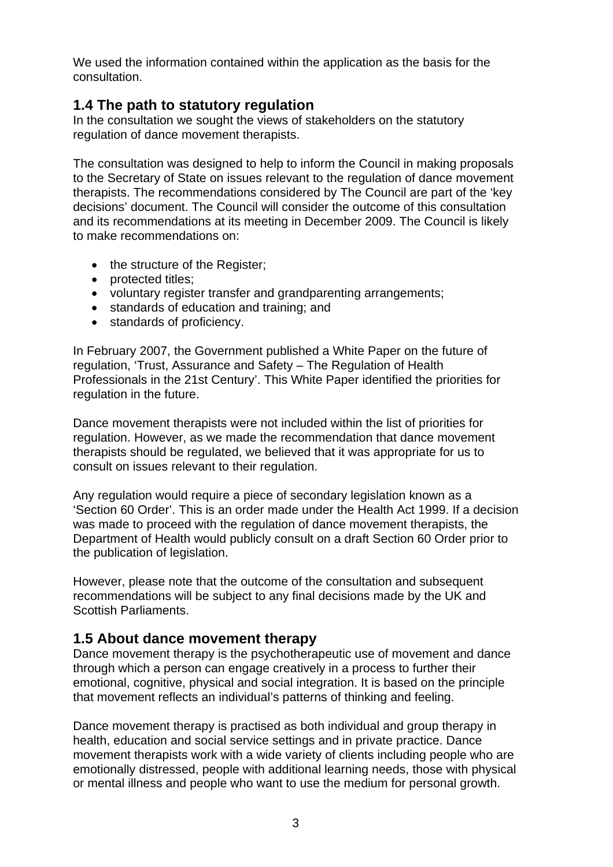We used the information contained within the application as the basis for the consultation.

# **1.4 The path to statutory regulation**

In the consultation we sought the views of stakeholders on the statutory regulation of dance movement therapists.

The consultation was designed to help to inform the Council in making proposals to the Secretary of State on issues relevant to the regulation of dance movement therapists. The recommendations considered by The Council are part of the 'key decisions' document. The Council will consider the outcome of this consultation and its recommendations at its meeting in December 2009. The Council is likely to make recommendations on:

- the structure of the Register;
- protected titles;
- voluntary register transfer and grandparenting arrangements;
- standards of education and training; and
- standards of proficiency.

In February 2007, the Government published a White Paper on the future of regulation, 'Trust, Assurance and Safety – The Regulation of Health Professionals in the 21st Century'. This White Paper identified the priorities for regulation in the future.

Dance movement therapists were not included within the list of priorities for regulation. However, as we made the recommendation that dance movement therapists should be regulated, we believed that it was appropriate for us to consult on issues relevant to their regulation.

Any regulation would require a piece of secondary legislation known as a 'Section 60 Order'. This is an order made under the Health Act 1999. If a decision was made to proceed with the regulation of dance movement therapists, the Department of Health would publicly consult on a draft Section 60 Order prior to the publication of legislation.

However, please note that the outcome of the consultation and subsequent recommendations will be subject to any final decisions made by the UK and Scottish Parliaments.

# **1.5 About dance movement therapy**

Dance movement therapy is the psychotherapeutic use of movement and dance through which a person can engage creatively in a process to further their emotional, cognitive, physical and social integration. It is based on the principle that movement reflects an individual's patterns of thinking and feeling.

Dance movement therapy is practised as both individual and group therapy in health, education and social service settings and in private practice. Dance movement therapists work with a wide variety of clients including people who are emotionally distressed, people with additional learning needs, those with physical or mental illness and people who want to use the medium for personal growth.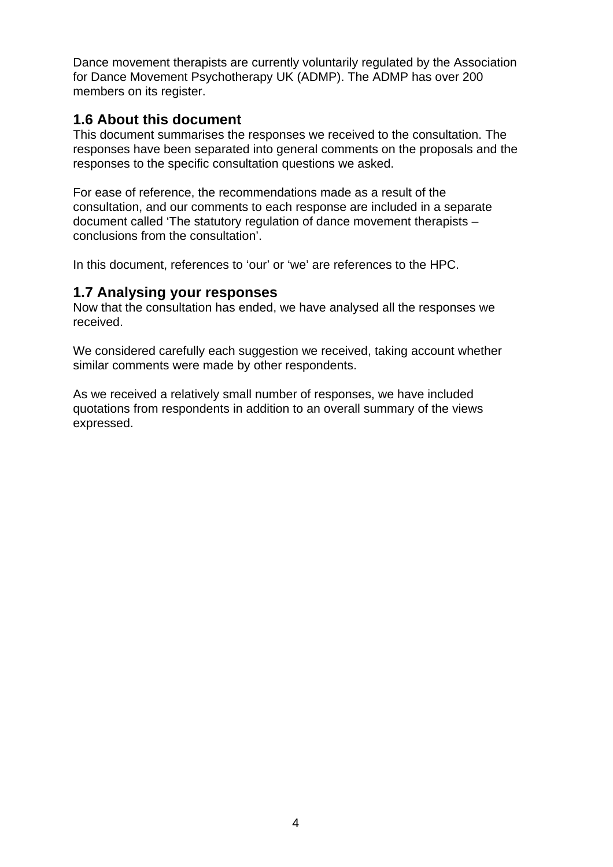Dance movement therapists are currently voluntarily regulated by the Association for Dance Movement Psychotherapy UK (ADMP). The ADMP has over 200 members on its register.

# **1.6 About this document**

This document summarises the responses we received to the consultation. The responses have been separated into general comments on the proposals and the responses to the specific consultation questions we asked.

For ease of reference, the recommendations made as a result of the consultation, and our comments to each response are included in a separate document called 'The statutory regulation of dance movement therapists – conclusions from the consultation'.

In this document, references to 'our' or 'we' are references to the HPC.

# **1.7 Analysing your responses**

Now that the consultation has ended, we have analysed all the responses we received.

We considered carefully each suggestion we received, taking account whether similar comments were made by other respondents.

As we received a relatively small number of responses, we have included quotations from respondents in addition to an overall summary of the views expressed.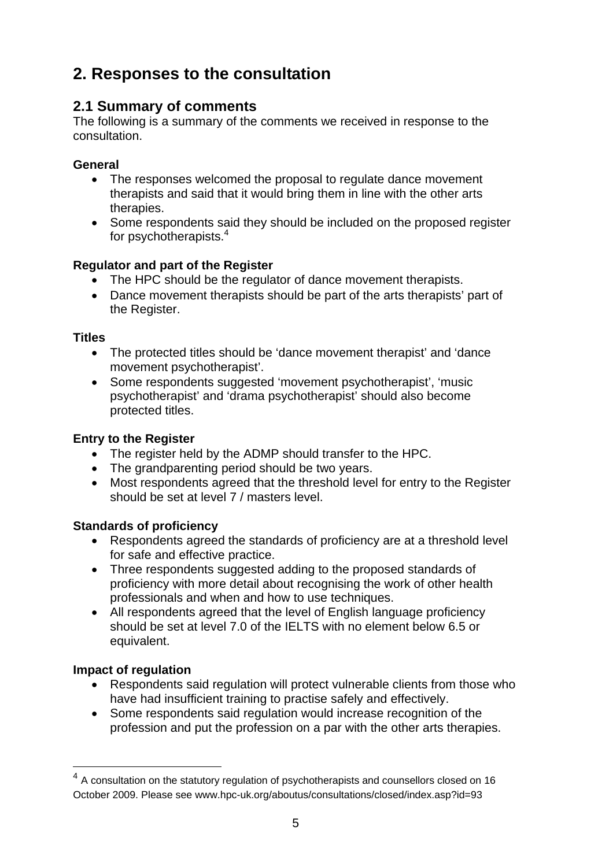# **2. Responses to the consultation**

# **2.1 Summary of comments**

The following is a summary of the comments we received in response to the consultation.

# **General**

- The responses welcomed the proposal to regulate dance movement therapists and said that it would bring them in line with the other arts therapies.
- Some respondents said they should be included on the proposed register for psychotherapists.<sup>4</sup>

# **Regulator and part of the Register**

- The HPC should be the regulator of dance movement therapists.
- Dance movement therapists should be part of the arts therapists' part of the Register.

# **Titles**

- The protected titles should be 'dance movement therapist' and 'dance movement psychotherapist'.
- Some respondents suggested 'movement psychotherapist', 'music psychotherapist' and 'drama psychotherapist' should also become protected titles.

# **Entry to the Register**

- The register held by the ADMP should transfer to the HPC.
- The grandparenting period should be two years.
- Most respondents agreed that the threshold level for entry to the Register should be set at level 7 / masters level.

# **Standards of proficiency**

- Respondents agreed the standards of proficiency are at a threshold level for safe and effective practice.
- Three respondents suggested adding to the proposed standards of proficiency with more detail about recognising the work of other health professionals and when and how to use techniques.
- All respondents agreed that the level of English language proficiency should be set at level 7.0 of the IELTS with no element below 6.5 or equivalent.

# **Impact of regulation**

- Respondents said regulation will protect vulnerable clients from those who have had insufficient training to practise safely and effectively.
- Some respondents said regulation would increase recognition of the profession and put the profession on a par with the other arts therapies.

<sup>&</sup>lt;sup>4</sup> A consultation on the statutory regulation of psychotherapists and counsellors closed on 16 October 2009. Please see www.hpc-uk.org/aboutus/consultations/closed/index.asp?id=93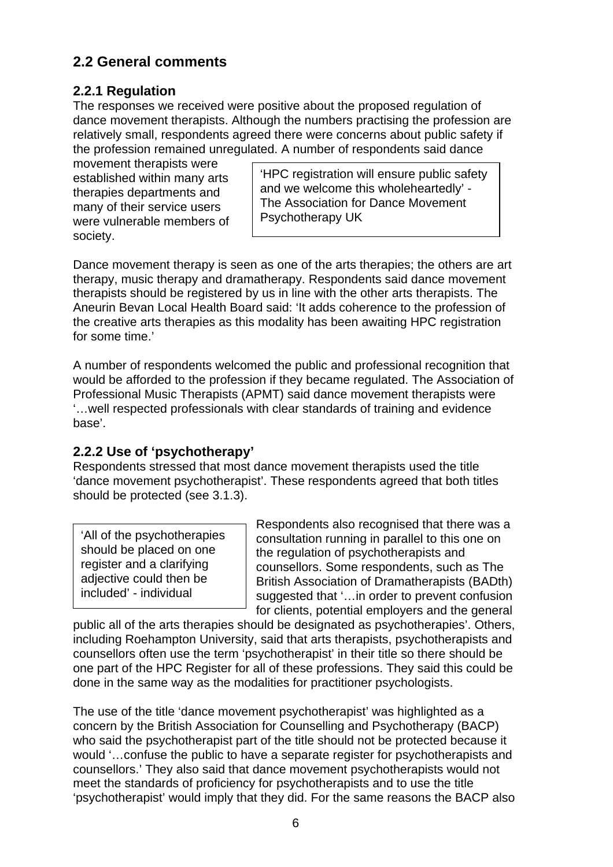# **2.2 General comments**

# **2.2.1 Regulation**

The responses we received were positive about the proposed regulation of dance movement therapists. Although the numbers practising the profession are relatively small, respondents agreed there were concerns about public safety if the profession remained unregulated. A number of respondents said dance

movement therapists were established within many arts therapies departments and many of their service users were vulnerable members of society.

'HPC registration will ensure public safety and we welcome this wholeheartedly' - The Association for Dance Movement Psychotherapy UK

Dance movement therapy is seen as one of the arts therapies; the others are art therapy, music therapy and dramatherapy. Respondents said dance movement therapists should be registered by us in line with the other arts therapists. The Aneurin Bevan Local Health Board said: 'It adds coherence to the profession of the creative arts therapies as this modality has been awaiting HPC registration for some time.'

A number of respondents welcomed the public and professional recognition that would be afforded to the profession if they became regulated. The Association of Professional Music Therapists (APMT) said dance movement therapists were '…well respected professionals with clear standards of training and evidence base'.

# **2.2.2 Use of 'psychotherapy'**

Respondents stressed that most dance movement therapists used the title 'dance movement psychotherapist'. These respondents agreed that both titles should be protected (see 3.1.3).

| 'All of the psychotherapies<br>should be placed on one |
|--------------------------------------------------------|
| register and a clarifying<br>adjective could then be   |
| included' - individual                                 |

Respondents also recognised that there was a consultation running in parallel to this one on the regulation of psychotherapists and counsellors. Some respondents, such as The British Association of Dramatherapists (BADth) suggested that '…in order to prevent confusion for clients, potential employers and the general

public all of the arts therapies should be designated as psychotherapies'. Others, including Roehampton University, said that arts therapists, psychotherapists and counsellors often use the term 'psychotherapist' in their title so there should be one part of the HPC Register for all of these professions. They said this could be done in the same way as the modalities for practitioner psychologists.

The use of the title 'dance movement psychotherapist' was highlighted as a concern by the British Association for Counselling and Psychotherapy (BACP) who said the psychotherapist part of the title should not be protected because it would '…confuse the public to have a separate register for psychotherapists and counsellors.' They also said that dance movement psychotherapists would not meet the standards of proficiency for psychotherapists and to use the title 'psychotherapist' would imply that they did. For the same reasons the BACP also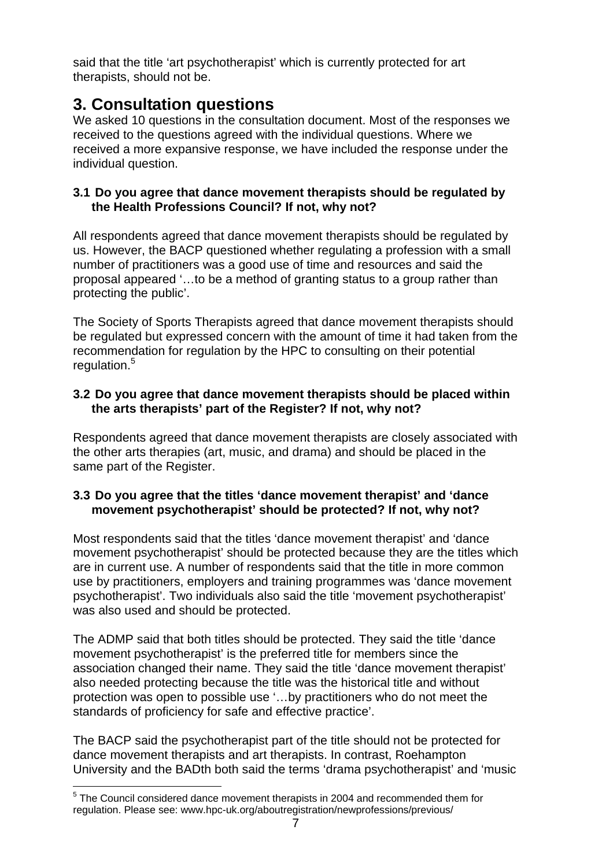said that the title 'art psychotherapist' which is currently protected for art therapists, should not be.

# **3. Consultation questions**

We asked 10 questions in the consultation document. Most of the responses we received to the questions agreed with the individual questions. Where we received a more expansive response, we have included the response under the individual question.

# **3.1 Do you agree that dance movement therapists should be regulated by the Health Professions Council? If not, why not?**

All respondents agreed that dance movement therapists should be regulated by us. However, the BACP questioned whether regulating a profession with a small number of practitioners was a good use of time and resources and said the proposal appeared '…to be a method of granting status to a group rather than protecting the public'.

The Society of Sports Therapists agreed that dance movement therapists should be regulated but expressed concern with the amount of time it had taken from the recommendation for regulation by the HPC to consulting on their potential regulation.<sup>5</sup>

# **3.2 Do you agree that dance movement therapists should be placed within the arts therapists' part of the Register? If not, why not?**

Respondents agreed that dance movement therapists are closely associated with the other arts therapies (art, music, and drama) and should be placed in the same part of the Register.

# **3.3 Do you agree that the titles 'dance movement therapist' and 'dance movement psychotherapist' should be protected? If not, why not?**

Most respondents said that the titles 'dance movement therapist' and 'dance movement psychotherapist' should be protected because they are the titles which are in current use. A number of respondents said that the title in more common use by practitioners, employers and training programmes was 'dance movement psychotherapist'. Two individuals also said the title 'movement psychotherapist' was also used and should be protected.

The ADMP said that both titles should be protected. They said the title 'dance movement psychotherapist' is the preferred title for members since the association changed their name. They said the title 'dance movement therapist' also needed protecting because the title was the historical title and without protection was open to possible use '…by practitioners who do not meet the standards of proficiency for safe and effective practice'.

The BACP said the psychotherapist part of the title should not be protected for dance movement therapists and art therapists. In contrast, Roehampton University and the BADth both said the terms 'drama psychotherapist' and 'music

 <sup>5</sup> The Council considered dance movement therapists in 2004 and recommended them for regulation. Please see: www.hpc-uk.org/aboutregistration/newprofessions/previous/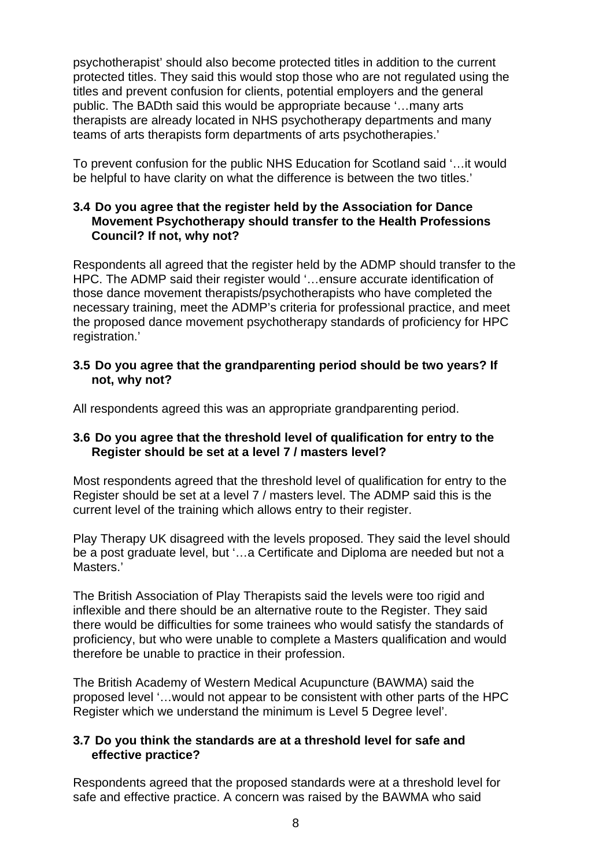psychotherapist' should also become protected titles in addition to the current protected titles. They said this would stop those who are not regulated using the titles and prevent confusion for clients, potential employers and the general public. The BADth said this would be appropriate because '…many arts therapists are already located in NHS psychotherapy departments and many teams of arts therapists form departments of arts psychotherapies.'

To prevent confusion for the public NHS Education for Scotland said '…it would be helpful to have clarity on what the difference is between the two titles.'

### **3.4 Do you agree that the register held by the Association for Dance Movement Psychotherapy should transfer to the Health Professions Council? If not, why not?**

Respondents all agreed that the register held by the ADMP should transfer to the HPC. The ADMP said their register would '…ensure accurate identification of those dance movement therapists/psychotherapists who have completed the necessary training, meet the ADMP's criteria for professional practice, and meet the proposed dance movement psychotherapy standards of proficiency for HPC registration.'

### **3.5 Do you agree that the grandparenting period should be two years? If not, why not?**

All respondents agreed this was an appropriate grandparenting period.

# **3.6 Do you agree that the threshold level of qualification for entry to the Register should be set at a level 7 / masters level?**

Most respondents agreed that the threshold level of qualification for entry to the Register should be set at a level 7 / masters level. The ADMP said this is the current level of the training which allows entry to their register.

Play Therapy UK disagreed with the levels proposed. They said the level should be a post graduate level, but '…a Certificate and Diploma are needed but not a Masters.'

The British Association of Play Therapists said the levels were too rigid and inflexible and there should be an alternative route to the Register. They said there would be difficulties for some trainees who would satisfy the standards of proficiency, but who were unable to complete a Masters qualification and would therefore be unable to practice in their profession.

The British Academy of Western Medical Acupuncture (BAWMA) said the proposed level '…would not appear to be consistent with other parts of the HPC Register which we understand the minimum is Level 5 Degree level'.

### **3.7 Do you think the standards are at a threshold level for safe and effective practice?**

Respondents agreed that the proposed standards were at a threshold level for safe and effective practice. A concern was raised by the BAWMA who said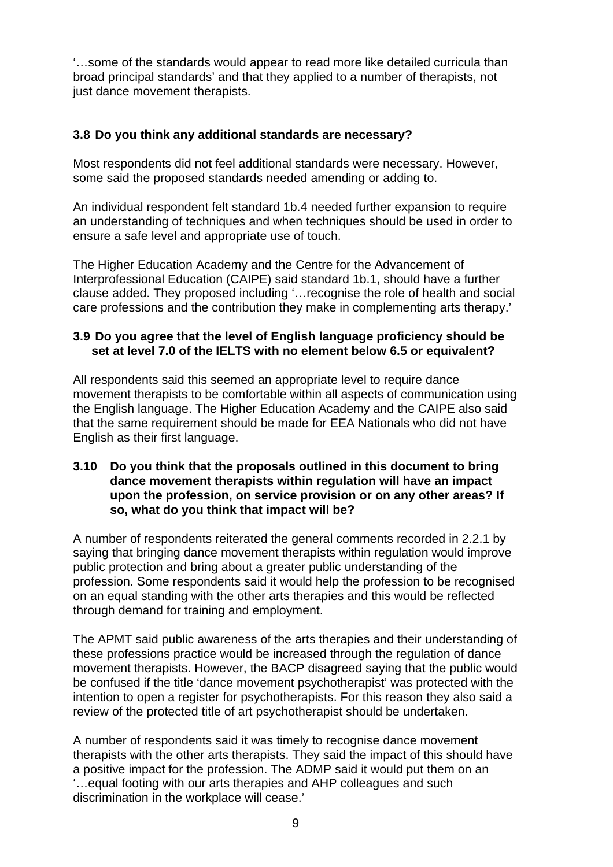'…some of the standards would appear to read more like detailed curricula than broad principal standards' and that they applied to a number of therapists, not just dance movement therapists.

# **3.8 Do you think any additional standards are necessary?**

Most respondents did not feel additional standards were necessary. However, some said the proposed standards needed amending or adding to.

An individual respondent felt standard 1b.4 needed further expansion to require an understanding of techniques and when techniques should be used in order to ensure a safe level and appropriate use of touch.

The Higher Education Academy and the Centre for the Advancement of Interprofessional Education (CAIPE) said standard 1b.1, should have a further clause added. They proposed including '…recognise the role of health and social care professions and the contribution they make in complementing arts therapy.'

### **3.9 Do you agree that the level of English language proficiency should be set at level 7.0 of the IELTS with no element below 6.5 or equivalent?**

All respondents said this seemed an appropriate level to require dance movement therapists to be comfortable within all aspects of communication using the English language. The Higher Education Academy and the CAIPE also said that the same requirement should be made for EEA Nationals who did not have English as their first language.

### **3.10 Do you think that the proposals outlined in this document to bring dance movement therapists within regulation will have an impact upon the profession, on service provision or on any other areas? If so, what do you think that impact will be?**

A number of respondents reiterated the general comments recorded in 2.2.1 by saying that bringing dance movement therapists within regulation would improve public protection and bring about a greater public understanding of the profession. Some respondents said it would help the profession to be recognised on an equal standing with the other arts therapies and this would be reflected through demand for training and employment.

The APMT said public awareness of the arts therapies and their understanding of these professions practice would be increased through the regulation of dance movement therapists. However, the BACP disagreed saying that the public would be confused if the title 'dance movement psychotherapist' was protected with the intention to open a register for psychotherapists. For this reason they also said a review of the protected title of art psychotherapist should be undertaken.

A number of respondents said it was timely to recognise dance movement therapists with the other arts therapists. They said the impact of this should have a positive impact for the profession. The ADMP said it would put them on an '…equal footing with our arts therapies and AHP colleagues and such discrimination in the workplace will cease.'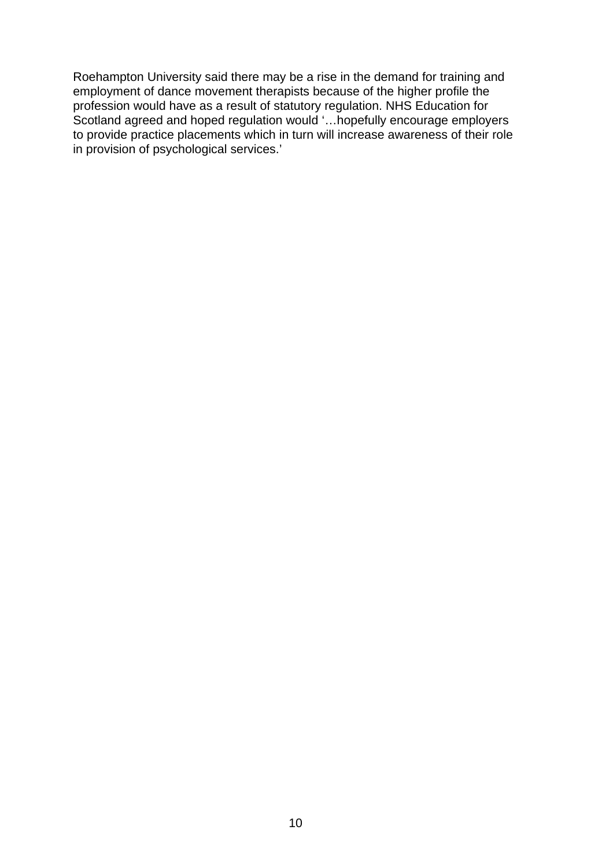Roehampton University said there may be a rise in the demand for training and employment of dance movement therapists because of the higher profile the profession would have as a result of statutory regulation. NHS Education for Scotland agreed and hoped regulation would '…hopefully encourage employers to provide practice placements which in turn will increase awareness of their role in provision of psychological services.'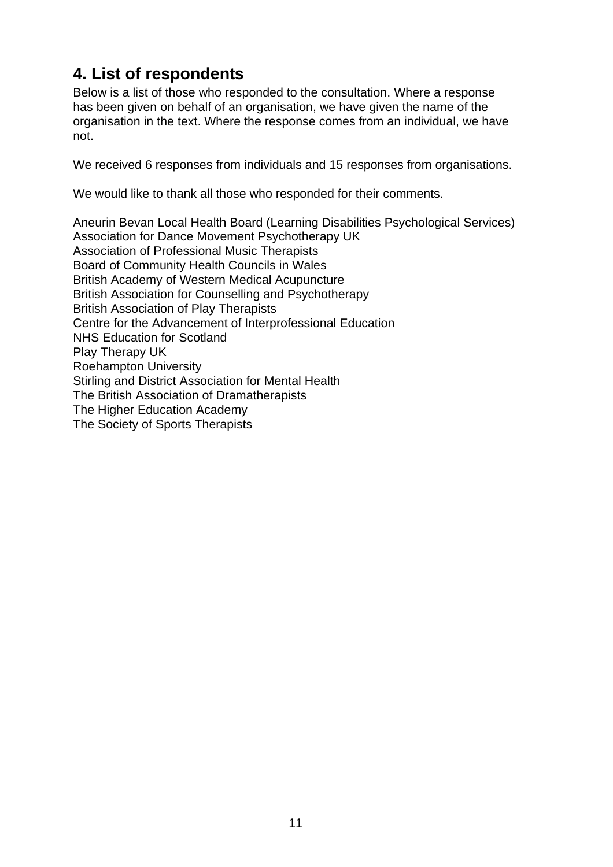# **4. List of respondents**

Below is a list of those who responded to the consultation. Where a response has been given on behalf of an organisation, we have given the name of the organisation in the text. Where the response comes from an individual, we have not.

We received 6 responses from individuals and 15 responses from organisations.

We would like to thank all those who responded for their comments.

Aneurin Bevan Local Health Board (Learning Disabilities Psychological Services) Association for Dance Movement Psychotherapy UK Association of Professional Music Therapists Board of Community Health Councils in Wales British Academy of Western Medical Acupuncture British Association for Counselling and Psychotherapy British Association of Play Therapists Centre for the Advancement of Interprofessional Education NHS Education for Scotland Play Therapy UK Roehampton University Stirling and District Association for Mental Health The British Association of Dramatherapists The Higher Education Academy The Society of Sports Therapists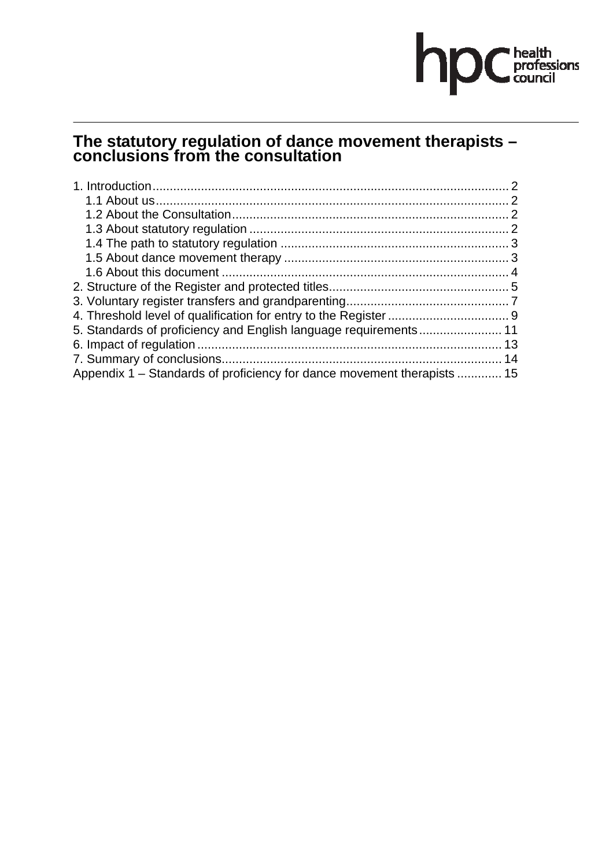# hpC health<br>council

# **The statutory regulation of dance movement therapists – conclusions from the consultation**

| 5. Standards of proficiency and English language requirements 11        |  |
|-------------------------------------------------------------------------|--|
|                                                                         |  |
|                                                                         |  |
| Appendix 1 – Standards of proficiency for dance movement therapists  15 |  |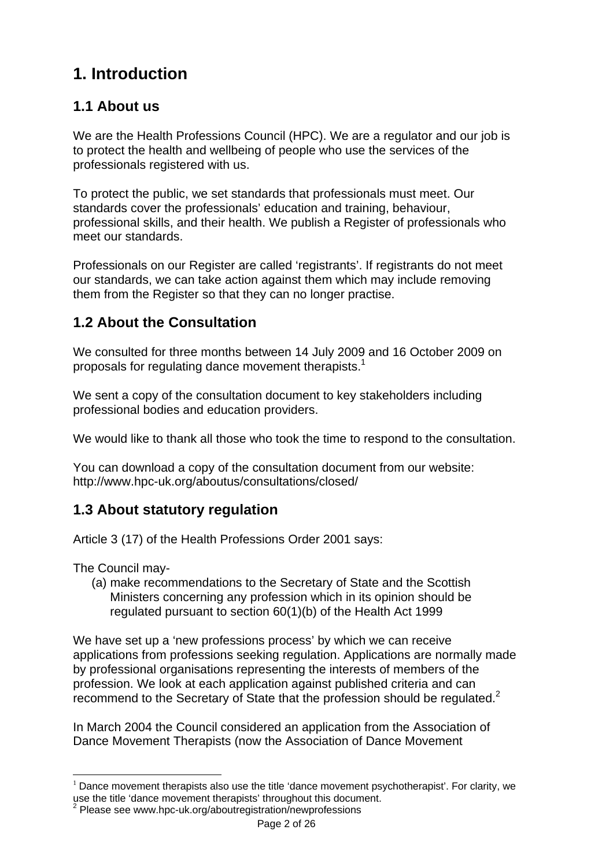# **1. Introduction**

# **1.1 About us**

We are the Health Professions Council (HPC). We are a regulator and our job is to protect the health and wellbeing of people who use the services of the professionals registered with us.

To protect the public, we set standards that professionals must meet. Our standards cover the professionals' education and training, behaviour, professional skills, and their health. We publish a Register of professionals who meet our standards.

Professionals on our Register are called 'registrants'. If registrants do not meet our standards, we can take action against them which may include removing them from the Register so that they can no longer practise.

# **1.2 About the Consultation**

We consulted for three months between 14 July 2009 and 16 October 2009 on proposals for regulating dance movement therapists.<sup>1</sup>

We sent a copy of the consultation document to key stakeholders including professional bodies and education providers.

We would like to thank all those who took the time to respond to the consultation.

You can download a copy of the consultation document from our website: http://www.hpc-uk.org/aboutus/consultations/closed/

# **1.3 About statutory regulation**

Article 3 (17) of the Health Professions Order 2001 says:

The Council may-

(a) make recommendations to the Secretary of State and the Scottish Ministers concerning any profession which in its opinion should be regulated pursuant to section 60(1)(b) of the Health Act 1999

We have set up a 'new professions process' by which we can receive applications from professions seeking regulation. Applications are normally made by professional organisations representing the interests of members of the profession. We look at each application against published criteria and can recommend to the Secretary of State that the profession should be regulated.<sup>2</sup>

In March 2004 the Council considered an application from the Association of Dance Movement Therapists (now the Association of Dance Movement

 $<sup>1</sup>$  Dance movement therapists also use the title 'dance movement psychotherapist'. For clarity, we</sup> use the title 'dance movement therapists' throughout this document.<br><sup>2</sup> Please see www.hpc-uk.org/aboutregistration/newprofessions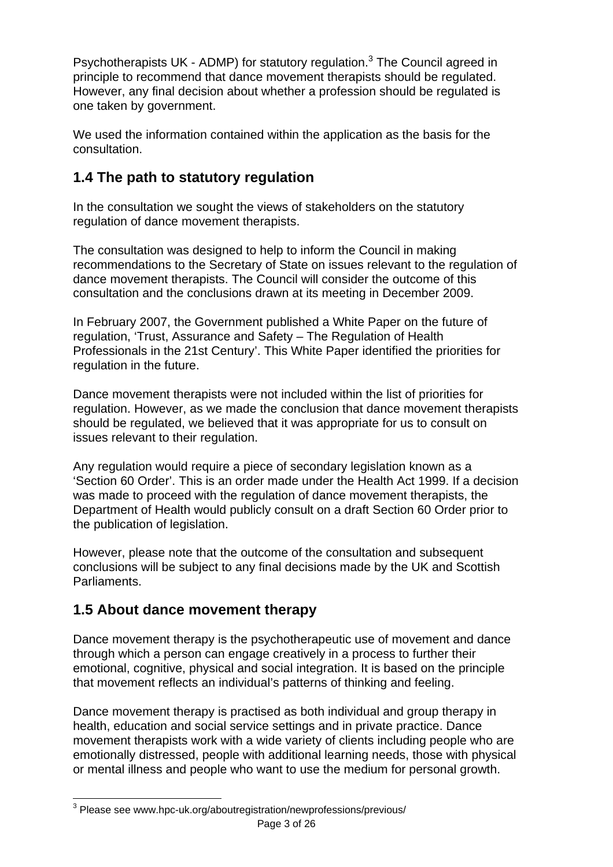Psychotherapists UK - ADMP) for statutory regulation.<sup>3</sup> The Council agreed in principle to recommend that dance movement therapists should be regulated. However, any final decision about whether a profession should be regulated is one taken by government.

We used the information contained within the application as the basis for the consultation.

# **1.4 The path to statutory regulation**

In the consultation we sought the views of stakeholders on the statutory regulation of dance movement therapists.

The consultation was designed to help to inform the Council in making recommendations to the Secretary of State on issues relevant to the regulation of dance movement therapists. The Council will consider the outcome of this consultation and the conclusions drawn at its meeting in December 2009.

In February 2007, the Government published a White Paper on the future of regulation, 'Trust, Assurance and Safety – The Regulation of Health Professionals in the 21st Century'. This White Paper identified the priorities for regulation in the future.

Dance movement therapists were not included within the list of priorities for regulation. However, as we made the conclusion that dance movement therapists should be regulated, we believed that it was appropriate for us to consult on issues relevant to their regulation.

Any regulation would require a piece of secondary legislation known as a 'Section 60 Order'. This is an order made under the Health Act 1999. If a decision was made to proceed with the regulation of dance movement therapists, the Department of Health would publicly consult on a draft Section 60 Order prior to the publication of legislation.

However, please note that the outcome of the consultation and subsequent conclusions will be subject to any final decisions made by the UK and Scottish Parliaments.

# **1.5 About dance movement therapy**

Dance movement therapy is the psychotherapeutic use of movement and dance through which a person can engage creatively in a process to further their emotional, cognitive, physical and social integration. It is based on the principle that movement reflects an individual's patterns of thinking and feeling.

Dance movement therapy is practised as both individual and group therapy in health, education and social service settings and in private practice. Dance movement therapists work with a wide variety of clients including people who are emotionally distressed, people with additional learning needs, those with physical or mental illness and people who want to use the medium for personal growth.

 3 Please see www.hpc-uk.org/aboutregistration/newprofessions/previous/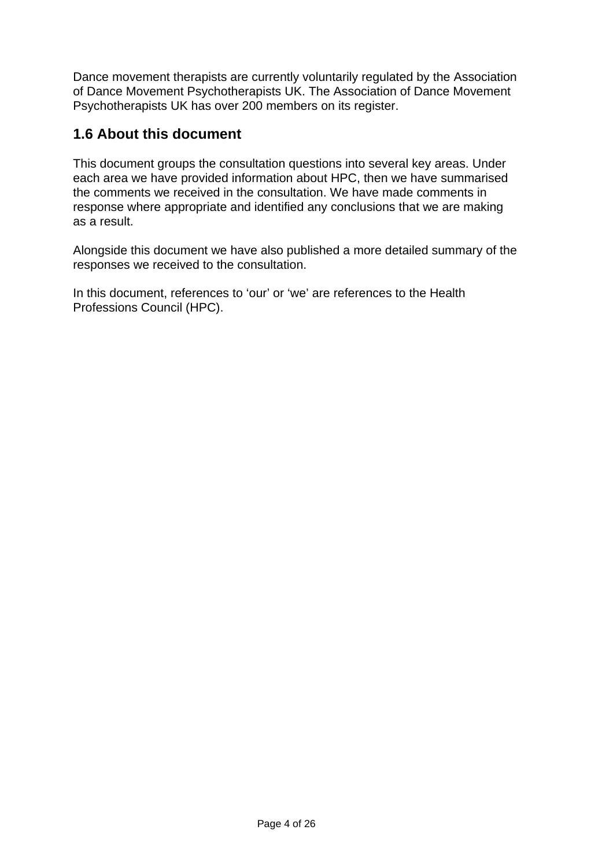Dance movement therapists are currently voluntarily regulated by the Association of Dance Movement Psychotherapists UK. The Association of Dance Movement Psychotherapists UK has over 200 members on its register.

# **1.6 About this document**

This document groups the consultation questions into several key areas. Under each area we have provided information about HPC, then we have summarised the comments we received in the consultation. We have made comments in response where appropriate and identified any conclusions that we are making as a result.

Alongside this document we have also published a more detailed summary of the responses we received to the consultation.

In this document, references to 'our' or 'we' are references to the Health Professions Council (HPC).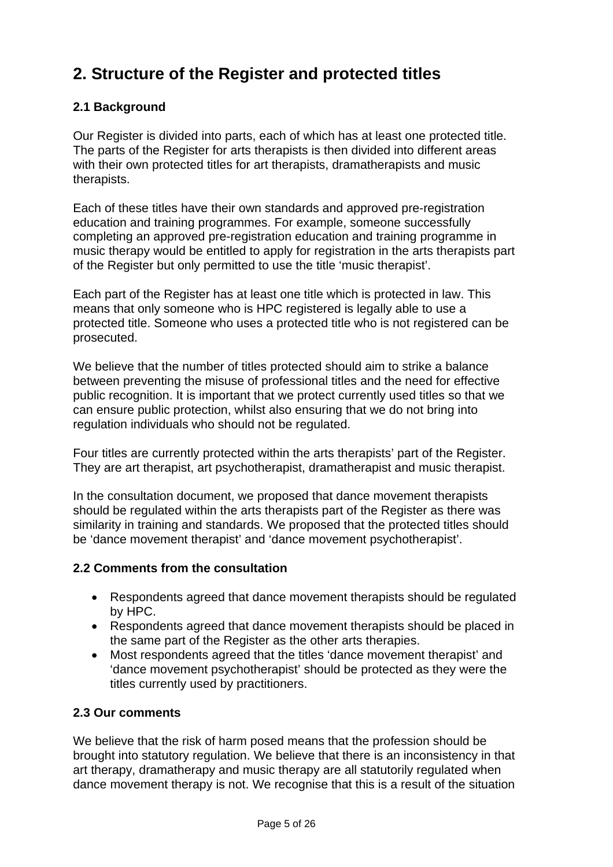# **2. Structure of the Register and protected titles**

# **2.1 Background**

Our Register is divided into parts, each of which has at least one protected title. The parts of the Register for arts therapists is then divided into different areas with their own protected titles for art therapists, dramatherapists and music therapists.

Each of these titles have their own standards and approved pre-registration education and training programmes. For example, someone successfully completing an approved pre-registration education and training programme in music therapy would be entitled to apply for registration in the arts therapists part of the Register but only permitted to use the title 'music therapist'.

Each part of the Register has at least one title which is protected in law. This means that only someone who is HPC registered is legally able to use a protected title. Someone who uses a protected title who is not registered can be prosecuted.

We believe that the number of titles protected should aim to strike a balance between preventing the misuse of professional titles and the need for effective public recognition. It is important that we protect currently used titles so that we can ensure public protection, whilst also ensuring that we do not bring into regulation individuals who should not be regulated.

Four titles are currently protected within the arts therapists' part of the Register. They are art therapist, art psychotherapist, dramatherapist and music therapist.

In the consultation document, we proposed that dance movement therapists should be regulated within the arts therapists part of the Register as there was similarity in training and standards. We proposed that the protected titles should be 'dance movement therapist' and 'dance movement psychotherapist'.

# **2.2 Comments from the consultation**

- Respondents agreed that dance movement therapists should be regulated by HPC.
- Respondents agreed that dance movement therapists should be placed in the same part of the Register as the other arts therapies.
- Most respondents agreed that the titles 'dance movement therapist' and 'dance movement psychotherapist' should be protected as they were the titles currently used by practitioners.

# **2.3 Our comments**

We believe that the risk of harm posed means that the profession should be brought into statutory regulation. We believe that there is an inconsistency in that art therapy, dramatherapy and music therapy are all statutorily regulated when dance movement therapy is not. We recognise that this is a result of the situation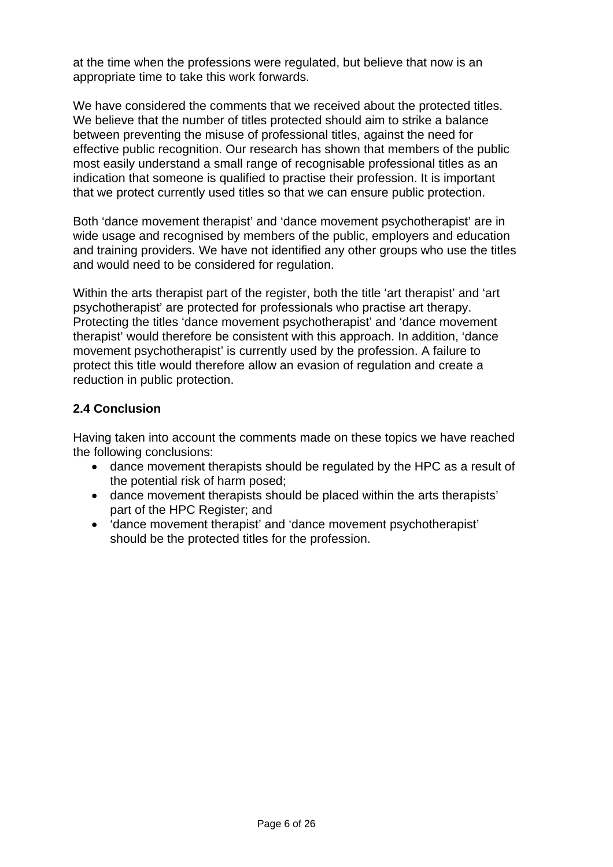at the time when the professions were regulated, but believe that now is an appropriate time to take this work forwards.

We have considered the comments that we received about the protected titles. We believe that the number of titles protected should aim to strike a balance between preventing the misuse of professional titles, against the need for effective public recognition. Our research has shown that members of the public most easily understand a small range of recognisable professional titles as an indication that someone is qualified to practise their profession. It is important that we protect currently used titles so that we can ensure public protection.

Both 'dance movement therapist' and 'dance movement psychotherapist' are in wide usage and recognised by members of the public, employers and education and training providers. We have not identified any other groups who use the titles and would need to be considered for regulation.

Within the arts therapist part of the register, both the title 'art therapist' and 'art psychotherapist' are protected for professionals who practise art therapy. Protecting the titles 'dance movement psychotherapist' and 'dance movement therapist' would therefore be consistent with this approach. In addition, 'dance movement psychotherapist' is currently used by the profession. A failure to protect this title would therefore allow an evasion of regulation and create a reduction in public protection.

# **2.4 Conclusion**

Having taken into account the comments made on these topics we have reached the following conclusions:

- dance movement therapists should be regulated by the HPC as a result of the potential risk of harm posed;
- dance movement therapists should be placed within the arts therapists' part of the HPC Register; and
- 'dance movement therapist' and 'dance movement psychotherapist' should be the protected titles for the profession.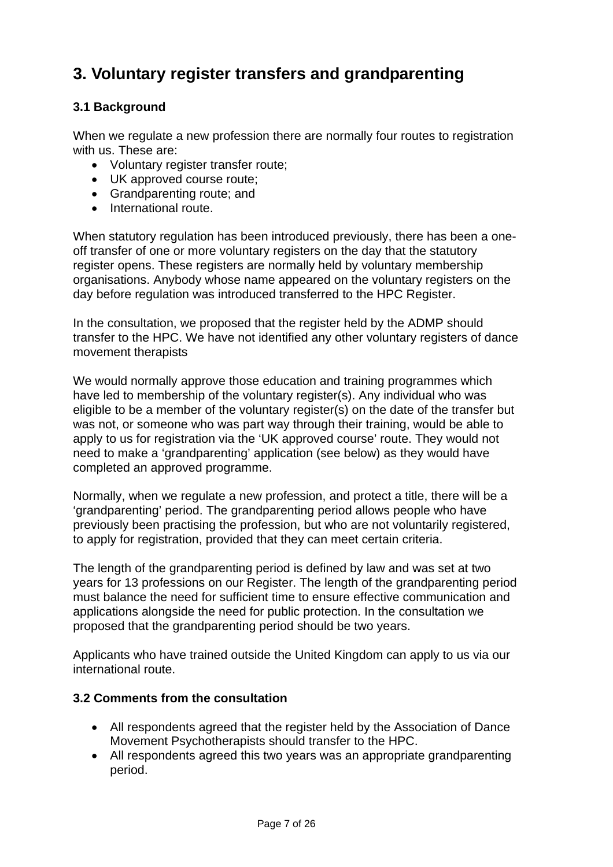# **3. Voluntary register transfers and grandparenting**

# **3.1 Background**

When we regulate a new profession there are normally four routes to registration with us. These are:

- Voluntary register transfer route;
- UK approved course route;
- Grandparenting route; and
- International route.

When statutory regulation has been introduced previously, there has been a oneoff transfer of one or more voluntary registers on the day that the statutory register opens. These registers are normally held by voluntary membership organisations. Anybody whose name appeared on the voluntary registers on the day before regulation was introduced transferred to the HPC Register.

In the consultation, we proposed that the register held by the ADMP should transfer to the HPC. We have not identified any other voluntary registers of dance movement therapists

We would normally approve those education and training programmes which have led to membership of the voluntary register(s). Any individual who was eligible to be a member of the voluntary register(s) on the date of the transfer but was not, or someone who was part way through their training, would be able to apply to us for registration via the 'UK approved course' route. They would not need to make a 'grandparenting' application (see below) as they would have completed an approved programme.

Normally, when we regulate a new profession, and protect a title, there will be a 'grandparenting' period. The grandparenting period allows people who have previously been practising the profession, but who are not voluntarily registered, to apply for registration, provided that they can meet certain criteria.

The length of the grandparenting period is defined by law and was set at two years for 13 professions on our Register. The length of the grandparenting period must balance the need for sufficient time to ensure effective communication and applications alongside the need for public protection. In the consultation we proposed that the grandparenting period should be two years.

Applicants who have trained outside the United Kingdom can apply to us via our international route.

### **3.2 Comments from the consultation**

- All respondents agreed that the register held by the Association of Dance Movement Psychotherapists should transfer to the HPC.
- All respondents agreed this two years was an appropriate grandparenting period.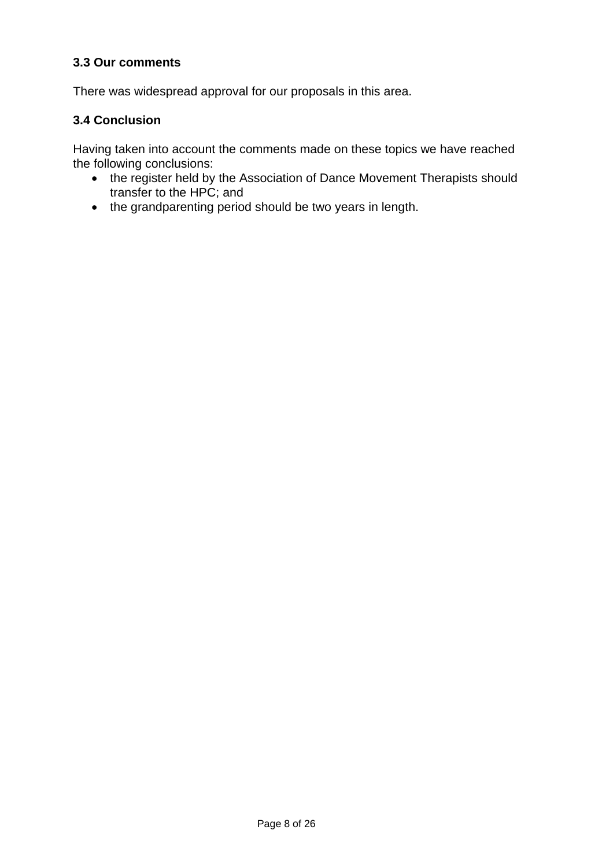### **3.3 Our comments**

There was widespread approval for our proposals in this area.

### **3.4 Conclusion**

Having taken into account the comments made on these topics we have reached the following conclusions:

- the register held by the Association of Dance Movement Therapists should transfer to the HPC; and
- the grandparenting period should be two years in length.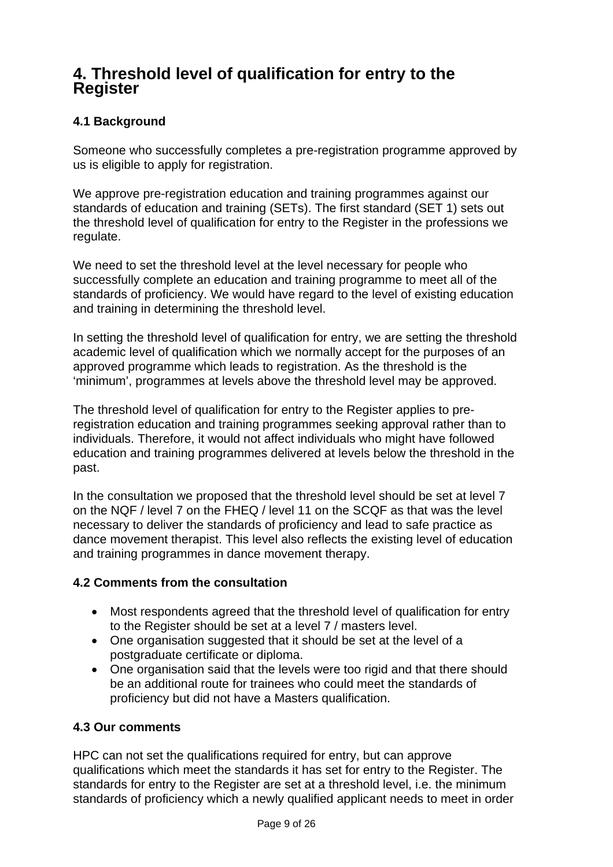# **4. Threshold level of qualification for entry to the Register**

# **4.1 Background**

Someone who successfully completes a pre-registration programme approved by us is eligible to apply for registration.

We approve pre-registration education and training programmes against our standards of education and training (SETs). The first standard (SET 1) sets out the threshold level of qualification for entry to the Register in the professions we regulate.

We need to set the threshold level at the level necessary for people who successfully complete an education and training programme to meet all of the standards of proficiency. We would have regard to the level of existing education and training in determining the threshold level.

In setting the threshold level of qualification for entry, we are setting the threshold academic level of qualification which we normally accept for the purposes of an approved programme which leads to registration. As the threshold is the 'minimum', programmes at levels above the threshold level may be approved.

The threshold level of qualification for entry to the Register applies to preregistration education and training programmes seeking approval rather than to individuals. Therefore, it would not affect individuals who might have followed education and training programmes delivered at levels below the threshold in the past.

In the consultation we proposed that the threshold level should be set at level 7 on the NQF / level 7 on the FHEQ / level 11 on the SCQF as that was the level necessary to deliver the standards of proficiency and lead to safe practice as dance movement therapist. This level also reflects the existing level of education and training programmes in dance movement therapy.

# **4.2 Comments from the consultation**

- Most respondents agreed that the threshold level of qualification for entry to the Register should be set at a level 7 / masters level.
- One organisation suggested that it should be set at the level of a postgraduate certificate or diploma.
- One organisation said that the levels were too rigid and that there should be an additional route for trainees who could meet the standards of proficiency but did not have a Masters qualification.

# **4.3 Our comments**

HPC can not set the qualifications required for entry, but can approve qualifications which meet the standards it has set for entry to the Register. The standards for entry to the Register are set at a threshold level, i.e. the minimum standards of proficiency which a newly qualified applicant needs to meet in order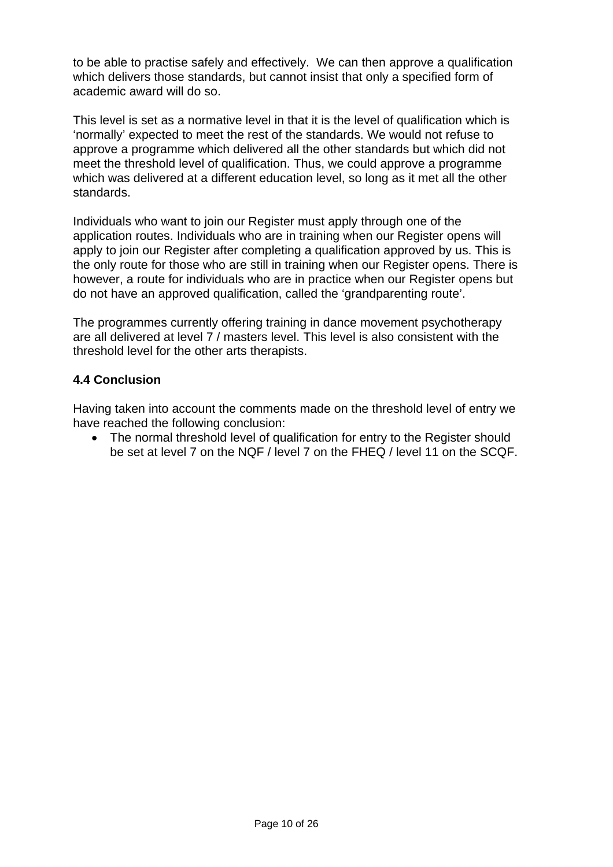to be able to practise safely and effectively. We can then approve a qualification which delivers those standards, but cannot insist that only a specified form of academic award will do so.

This level is set as a normative level in that it is the level of qualification which is 'normally' expected to meet the rest of the standards. We would not refuse to approve a programme which delivered all the other standards but which did not meet the threshold level of qualification. Thus, we could approve a programme which was delivered at a different education level, so long as it met all the other standards.

Individuals who want to join our Register must apply through one of the application routes. Individuals who are in training when our Register opens will apply to join our Register after completing a qualification approved by us. This is the only route for those who are still in training when our Register opens. There is however, a route for individuals who are in practice when our Register opens but do not have an approved qualification, called the 'grandparenting route'.

The programmes currently offering training in dance movement psychotherapy are all delivered at level 7 / masters level. This level is also consistent with the threshold level for the other arts therapists.

# **4.4 Conclusion**

Having taken into account the comments made on the threshold level of entry we have reached the following conclusion:

• The normal threshold level of qualification for entry to the Register should be set at level 7 on the NQF / level 7 on the FHEQ / level 11 on the SCQF.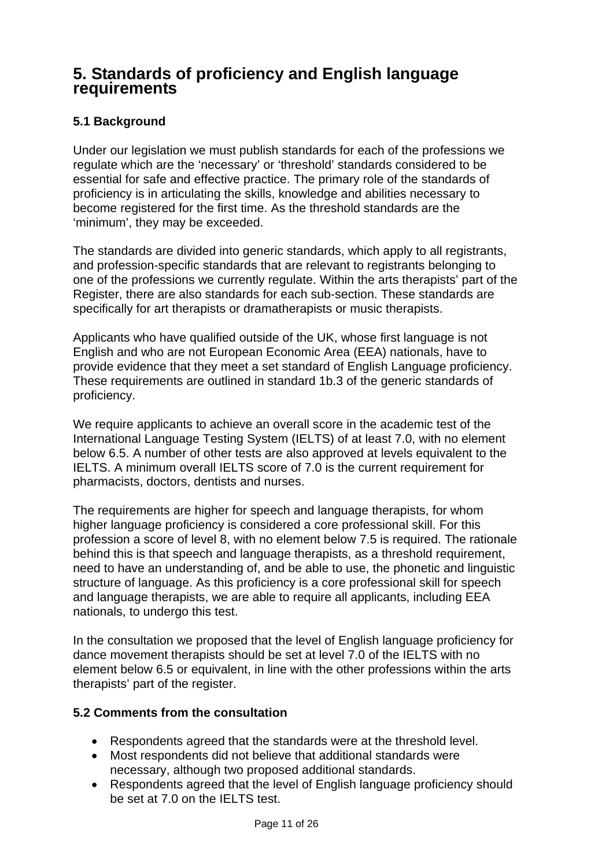# **5. Standards of proficiency and English language requirements**

# **5.1 Background**

Under our legislation we must publish standards for each of the professions we regulate which are the 'necessary' or 'threshold' standards considered to be essential for safe and effective practice. The primary role of the standards of proficiency is in articulating the skills, knowledge and abilities necessary to become registered for the first time. As the threshold standards are the 'minimum', they may be exceeded.

The standards are divided into generic standards, which apply to all registrants, and profession-specific standards that are relevant to registrants belonging to one of the professions we currently regulate. Within the arts therapists' part of the Register, there are also standards for each sub-section. These standards are specifically for art therapists or dramatherapists or music therapists.

Applicants who have qualified outside of the UK, whose first language is not English and who are not European Economic Area (EEA) nationals, have to provide evidence that they meet a set standard of English Language proficiency. These requirements are outlined in standard 1b.3 of the generic standards of proficiency.

We require applicants to achieve an overall score in the academic test of the International Language Testing System (IELTS) of at least 7.0, with no element below 6.5. A number of other tests are also approved at levels equivalent to the IELTS. A minimum overall IELTS score of 7.0 is the current requirement for pharmacists, doctors, dentists and nurses.

The requirements are higher for speech and language therapists, for whom higher language proficiency is considered a core professional skill. For this profession a score of level 8, with no element below 7.5 is required. The rationale behind this is that speech and language therapists, as a threshold requirement, need to have an understanding of, and be able to use, the phonetic and linguistic structure of language. As this proficiency is a core professional skill for speech and language therapists, we are able to require all applicants, including EEA nationals, to undergo this test.

In the consultation we proposed that the level of English language proficiency for dance movement therapists should be set at level 7.0 of the IELTS with no element below 6.5 or equivalent, in line with the other professions within the arts therapists' part of the register.

### **5.2 Comments from the consultation**

- Respondents agreed that the standards were at the threshold level.
- Most respondents did not believe that additional standards were necessary, although two proposed additional standards.
- Respondents agreed that the level of English language proficiency should be set at 7.0 on the IELTS test.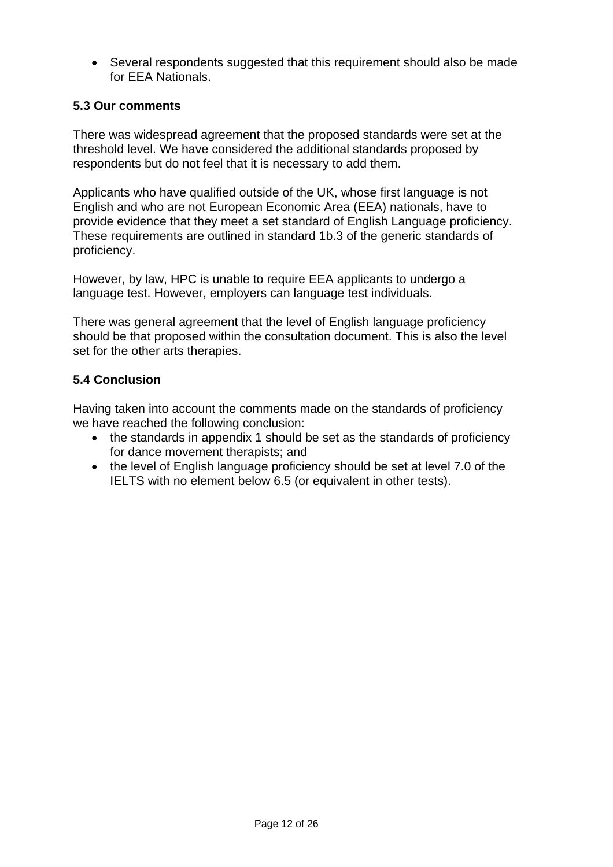• Several respondents suggested that this requirement should also be made for EEA Nationals.

# **5.3 Our comments**

There was widespread agreement that the proposed standards were set at the threshold level. We have considered the additional standards proposed by respondents but do not feel that it is necessary to add them.

Applicants who have qualified outside of the UK, whose first language is not English and who are not European Economic Area (EEA) nationals, have to provide evidence that they meet a set standard of English Language proficiency. These requirements are outlined in standard 1b.3 of the generic standards of proficiency.

However, by law, HPC is unable to require EEA applicants to undergo a language test. However, employers can language test individuals.

There was general agreement that the level of English language proficiency should be that proposed within the consultation document. This is also the level set for the other arts therapies.

### **5.4 Conclusion**

Having taken into account the comments made on the standards of proficiency we have reached the following conclusion:

- the standards in appendix 1 should be set as the standards of proficiency for dance movement therapists; and
- the level of English language proficiency should be set at level 7.0 of the IELTS with no element below 6.5 (or equivalent in other tests).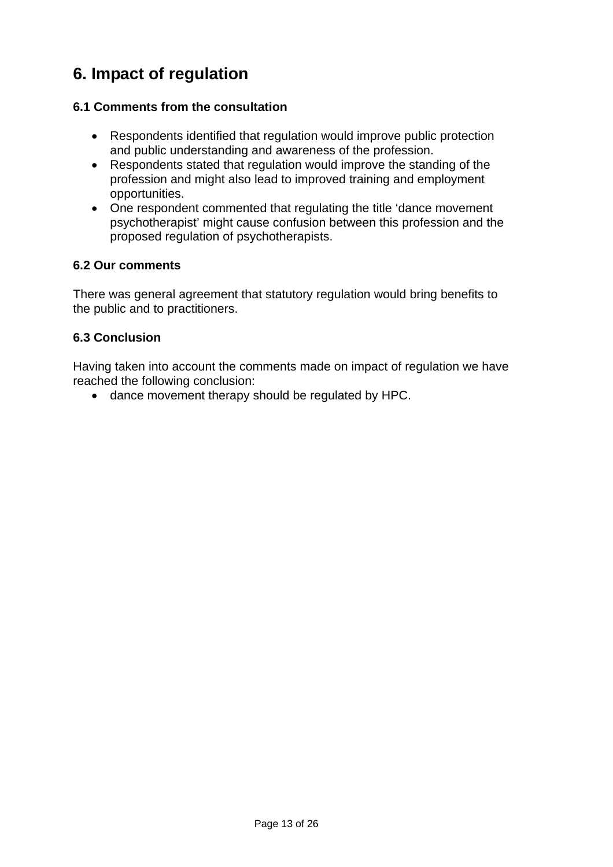# **6. Impact of regulation**

# **6.1 Comments from the consultation**

- Respondents identified that regulation would improve public protection and public understanding and awareness of the profession.
- Respondents stated that regulation would improve the standing of the profession and might also lead to improved training and employment opportunities.
- One respondent commented that regulating the title 'dance movement psychotherapist' might cause confusion between this profession and the proposed regulation of psychotherapists.

### **6.2 Our comments**

There was general agreement that statutory regulation would bring benefits to the public and to practitioners.

### **6.3 Conclusion**

Having taken into account the comments made on impact of regulation we have reached the following conclusion:

• dance movement therapy should be regulated by HPC.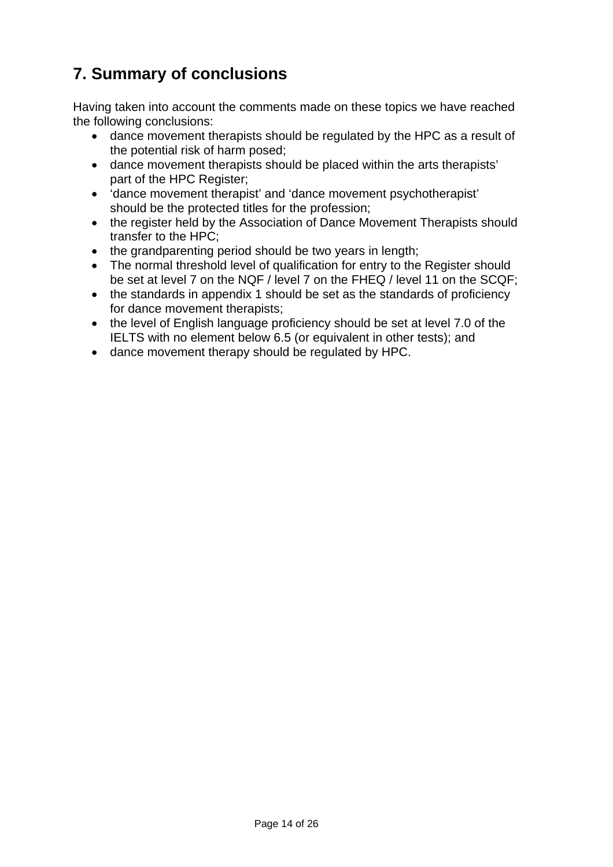# **7. Summary of conclusions**

Having taken into account the comments made on these topics we have reached the following conclusions:

- dance movement therapists should be regulated by the HPC as a result of the potential risk of harm posed;
- dance movement therapists should be placed within the arts therapists' part of the HPC Register;
- 'dance movement therapist' and 'dance movement psychotherapist' should be the protected titles for the profession;
- the register held by the Association of Dance Movement Therapists should transfer to the HPC;
- the grandparenting period should be two years in length;
- The normal threshold level of qualification for entry to the Register should be set at level 7 on the NQF / level 7 on the FHEQ / level 11 on the SCQF;
- the standards in appendix 1 should be set as the standards of proficiency for dance movement therapists;
- the level of English language proficiency should be set at level 7.0 of the IELTS with no element below 6.5 (or equivalent in other tests); and
- dance movement therapy should be regulated by HPC.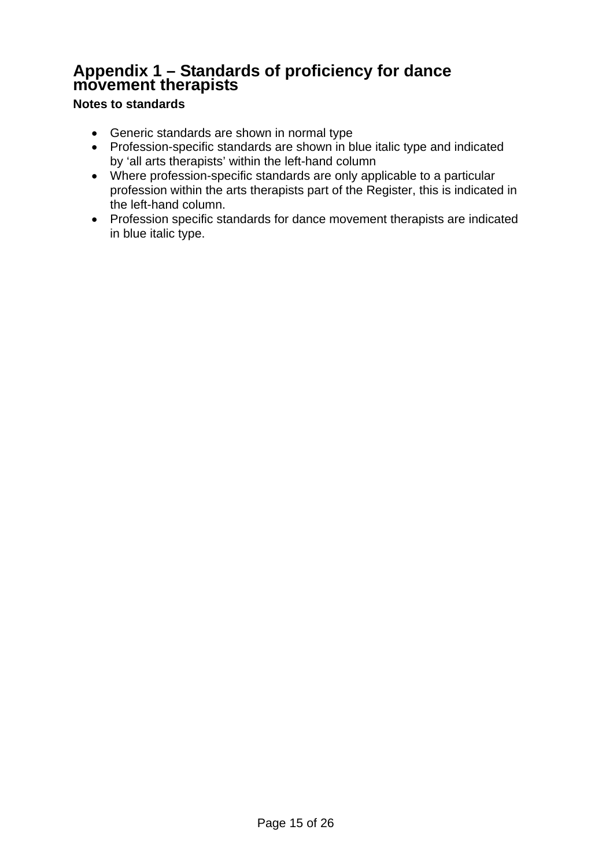# **Appendix 1 – Standards of proficiency for dance movement therapists**

# **Notes to standards**

- Generic standards are shown in normal type
- Profession-specific standards are shown in blue italic type and indicated by 'all arts therapists' within the left-hand column
- Where profession-specific standards are only applicable to a particular profession within the arts therapists part of the Register, this is indicated in the left-hand column.
- Profession specific standards for dance movement therapists are indicated in blue italic type.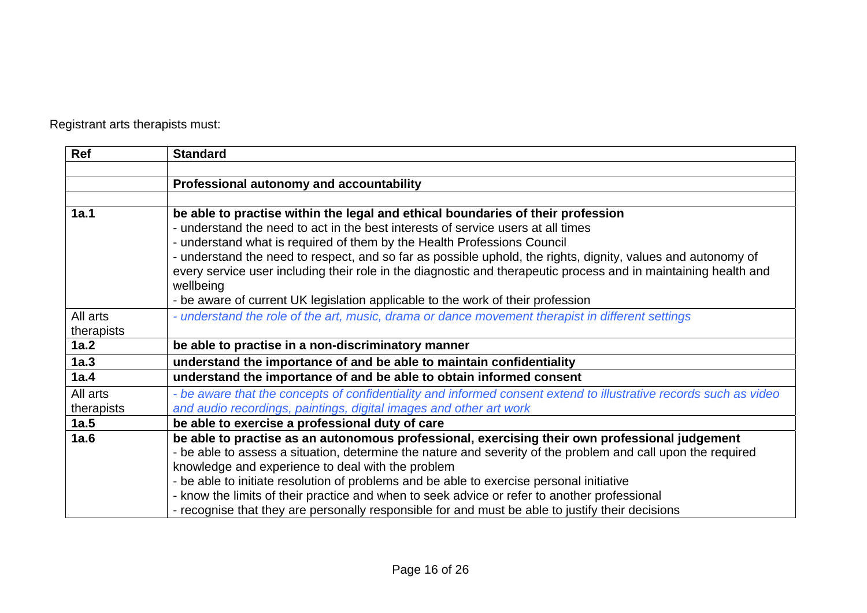Registrant arts therapists must:

| Ref        | <b>Standard</b>                                                                                                   |
|------------|-------------------------------------------------------------------------------------------------------------------|
|            |                                                                                                                   |
|            | Professional autonomy and accountability                                                                          |
|            |                                                                                                                   |
| 1a.1       | be able to practise within the legal and ethical boundaries of their profession                                   |
|            | - understand the need to act in the best interests of service users at all times                                  |
|            | - understand what is required of them by the Health Professions Council                                           |
|            | - understand the need to respect, and so far as possible uphold, the rights, dignity, values and autonomy of      |
|            | every service user including their role in the diagnostic and therapeutic process and in maintaining health and   |
|            | wellbeing                                                                                                         |
|            | - be aware of current UK legislation applicable to the work of their profession                                   |
| All arts   | - understand the role of the art, music, drama or dance movement therapist in different settings                  |
| therapists |                                                                                                                   |
| 1a.2       | be able to practise in a non-discriminatory manner                                                                |
| 1a.3       | understand the importance of and be able to maintain confidentiality                                              |
| 1a.4       | understand the importance of and be able to obtain informed consent                                               |
| All arts   | - be aware that the concepts of confidentiality and informed consent extend to illustrative records such as video |
| therapists | and audio recordings, paintings, digital images and other art work                                                |
| 1a.5       | be able to exercise a professional duty of care                                                                   |
| 1a.6       | be able to practise as an autonomous professional, exercising their own professional judgement                    |
|            | - be able to assess a situation, determine the nature and severity of the problem and call upon the required      |
|            | knowledge and experience to deal with the problem                                                                 |
|            | - be able to initiate resolution of problems and be able to exercise personal initiative                          |
|            | - know the limits of their practice and when to seek advice or refer to another professional                      |
|            | - recognise that they are personally responsible for and must be able to justify their decisions                  |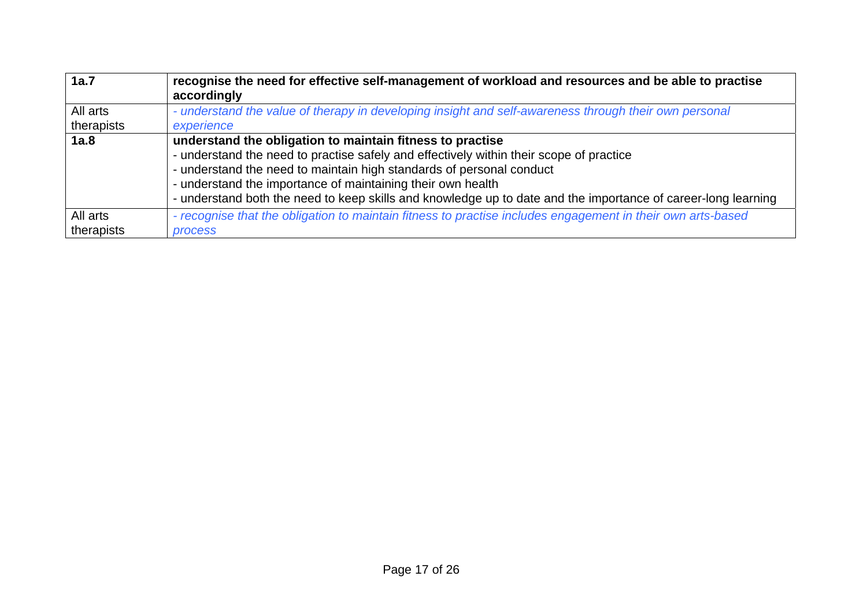| 1a.7                   | recognise the need for effective self-management of workload and resources and be able to practise<br>accordingly                                                                                                                                                                                                                                                                                            |
|------------------------|--------------------------------------------------------------------------------------------------------------------------------------------------------------------------------------------------------------------------------------------------------------------------------------------------------------------------------------------------------------------------------------------------------------|
| All arts<br>therapists | - understand the value of therapy in developing insight and self-awareness through their own personal<br>experience                                                                                                                                                                                                                                                                                          |
| 1a.8                   | understand the obligation to maintain fitness to practise<br>- understand the need to practise safely and effectively within their scope of practice<br>- understand the need to maintain high standards of personal conduct<br>- understand the importance of maintaining their own health<br>- understand both the need to keep skills and knowledge up to date and the importance of career-long learning |
| All arts               | - recognise that the obligation to maintain fitness to practise includes engagement in their own arts-based                                                                                                                                                                                                                                                                                                  |
| therapists             | process                                                                                                                                                                                                                                                                                                                                                                                                      |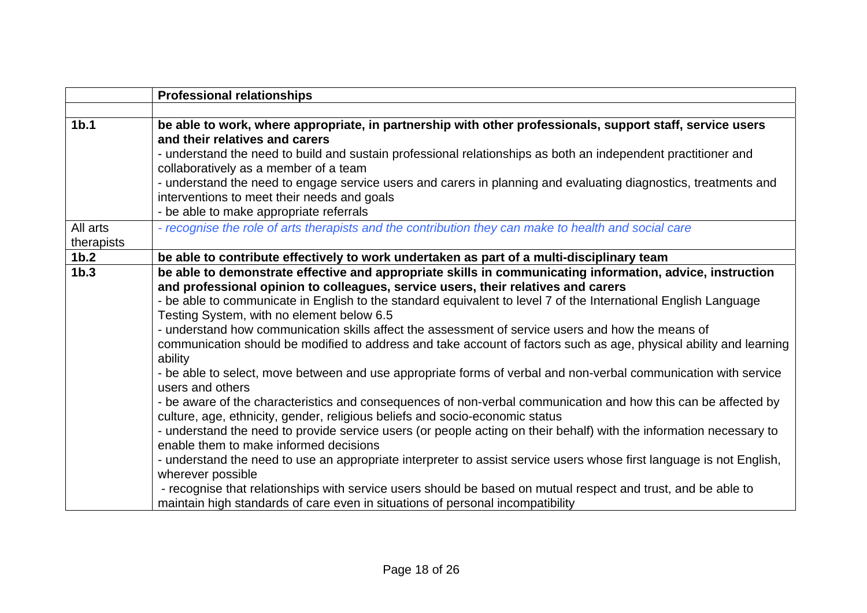|                  | <b>Professional relationships</b>                                                                                                                                                                                                                                                                                                                                                                                                                                                                                                                                                                                                                                                                                                                                                                                                                                                                                                                                                                                                                                                                                                                                                                                                                                                                                                                                                                                                                              |
|------------------|----------------------------------------------------------------------------------------------------------------------------------------------------------------------------------------------------------------------------------------------------------------------------------------------------------------------------------------------------------------------------------------------------------------------------------------------------------------------------------------------------------------------------------------------------------------------------------------------------------------------------------------------------------------------------------------------------------------------------------------------------------------------------------------------------------------------------------------------------------------------------------------------------------------------------------------------------------------------------------------------------------------------------------------------------------------------------------------------------------------------------------------------------------------------------------------------------------------------------------------------------------------------------------------------------------------------------------------------------------------------------------------------------------------------------------------------------------------|
|                  |                                                                                                                                                                                                                                                                                                                                                                                                                                                                                                                                                                                                                                                                                                                                                                                                                                                                                                                                                                                                                                                                                                                                                                                                                                                                                                                                                                                                                                                                |
| 1 <sub>b.1</sub> | be able to work, where appropriate, in partnership with other professionals, support staff, service users<br>and their relatives and carers<br>- understand the need to build and sustain professional relationships as both an independent practitioner and<br>collaboratively as a member of a team<br>- understand the need to engage service users and carers in planning and evaluating diagnostics, treatments and<br>interventions to meet their needs and goals<br>- be able to make appropriate referrals                                                                                                                                                                                                                                                                                                                                                                                                                                                                                                                                                                                                                                                                                                                                                                                                                                                                                                                                             |
| All arts         | - recognise the role of arts therapists and the contribution they can make to health and social care                                                                                                                                                                                                                                                                                                                                                                                                                                                                                                                                                                                                                                                                                                                                                                                                                                                                                                                                                                                                                                                                                                                                                                                                                                                                                                                                                           |
| therapists       |                                                                                                                                                                                                                                                                                                                                                                                                                                                                                                                                                                                                                                                                                                                                                                                                                                                                                                                                                                                                                                                                                                                                                                                                                                                                                                                                                                                                                                                                |
| 1 <sub>b.2</sub> | be able to contribute effectively to work undertaken as part of a multi-disciplinary team                                                                                                                                                                                                                                                                                                                                                                                                                                                                                                                                                                                                                                                                                                                                                                                                                                                                                                                                                                                                                                                                                                                                                                                                                                                                                                                                                                      |
| 1 <sub>b.3</sub> | be able to demonstrate effective and appropriate skills in communicating information, advice, instruction<br>and professional opinion to colleagues, service users, their relatives and carers<br>- be able to communicate in English to the standard equivalent to level 7 of the International English Language<br>Testing System, with no element below 6.5<br>- understand how communication skills affect the assessment of service users and how the means of<br>communication should be modified to address and take account of factors such as age, physical ability and learning<br>ability<br>- be able to select, move between and use appropriate forms of verbal and non-verbal communication with service<br>users and others<br>- be aware of the characteristics and consequences of non-verbal communication and how this can be affected by<br>culture, age, ethnicity, gender, religious beliefs and socio-economic status<br>- understand the need to provide service users (or people acting on their behalf) with the information necessary to<br>enable them to make informed decisions<br>- understand the need to use an appropriate interpreter to assist service users whose first language is not English,<br>wherever possible<br>- recognise that relationships with service users should be based on mutual respect and trust, and be able to<br>maintain high standards of care even in situations of personal incompatibility |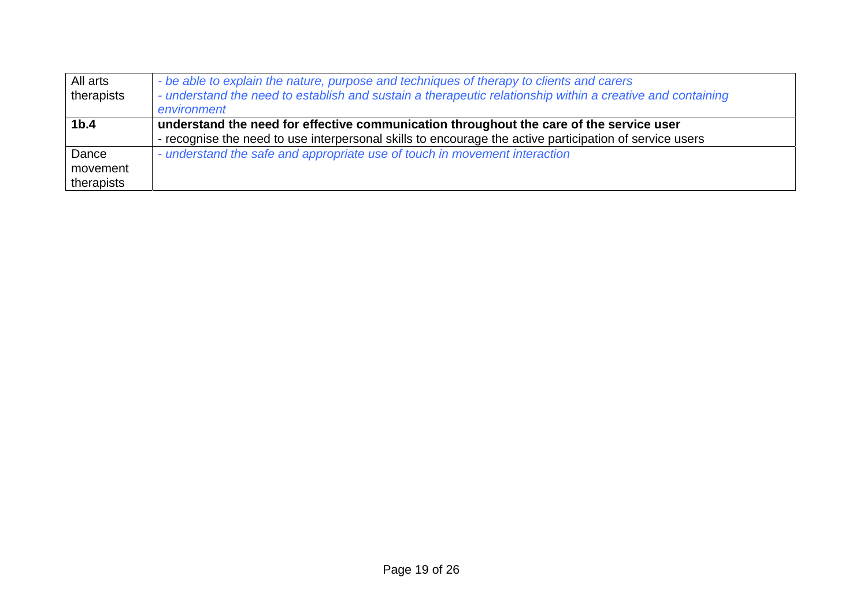| All arts         | - be able to explain the nature, purpose and techniques of therapy to clients and carers                   |
|------------------|------------------------------------------------------------------------------------------------------------|
| therapists       | - understand the need to establish and sustain a therapeutic relationship within a creative and containing |
|                  | environment                                                                                                |
| 1 <sub>b.4</sub> | understand the need for effective communication throughout the care of the service user                    |
|                  | - recognise the need to use interpersonal skills to encourage the active participation of service users    |
| Dance            | - understand the safe and appropriate use of touch in movement interaction                                 |
| movement         |                                                                                                            |
| therapists       |                                                                                                            |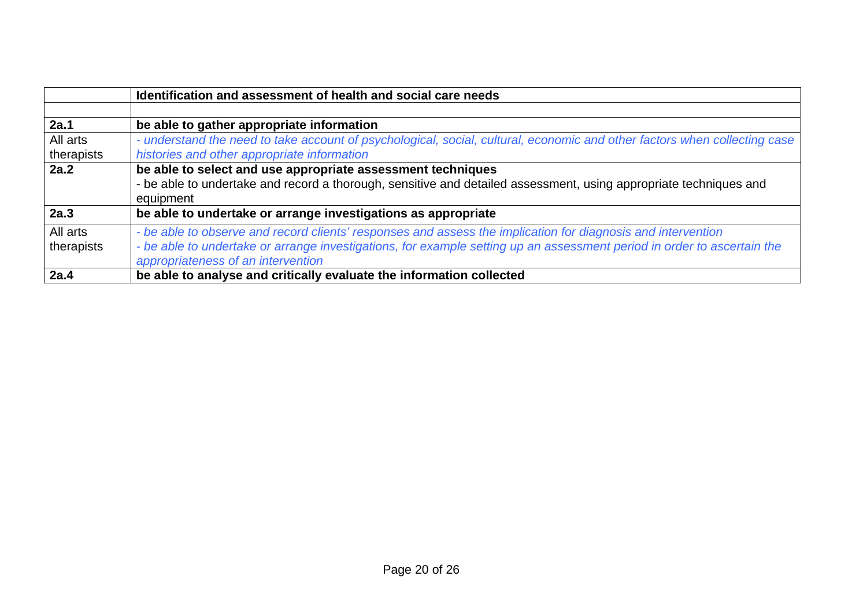|                        | Identification and assessment of health and social care needs                                                                                                                                                                                                                 |
|------------------------|-------------------------------------------------------------------------------------------------------------------------------------------------------------------------------------------------------------------------------------------------------------------------------|
|                        |                                                                                                                                                                                                                                                                               |
| 2a.1                   | be able to gather appropriate information                                                                                                                                                                                                                                     |
| All arts<br>therapists | - understand the need to take account of psychological, social, cultural, economic and other factors when collecting case<br>histories and other appropriate information                                                                                                      |
| 2a.2                   | be able to select and use appropriate assessment techniques<br>- be able to undertake and record a thorough, sensitive and detailed assessment, using appropriate techniques and<br>equipment                                                                                 |
| 2a.3                   | be able to undertake or arrange investigations as appropriate                                                                                                                                                                                                                 |
| All arts<br>therapists | - be able to observe and record clients' responses and assess the implication for diagnosis and intervention<br>- be able to undertake or arrange investigations, for example setting up an assessment period in order to ascertain the<br>appropriateness of an intervention |
| 2a.4                   | be able to analyse and critically evaluate the information collected                                                                                                                                                                                                          |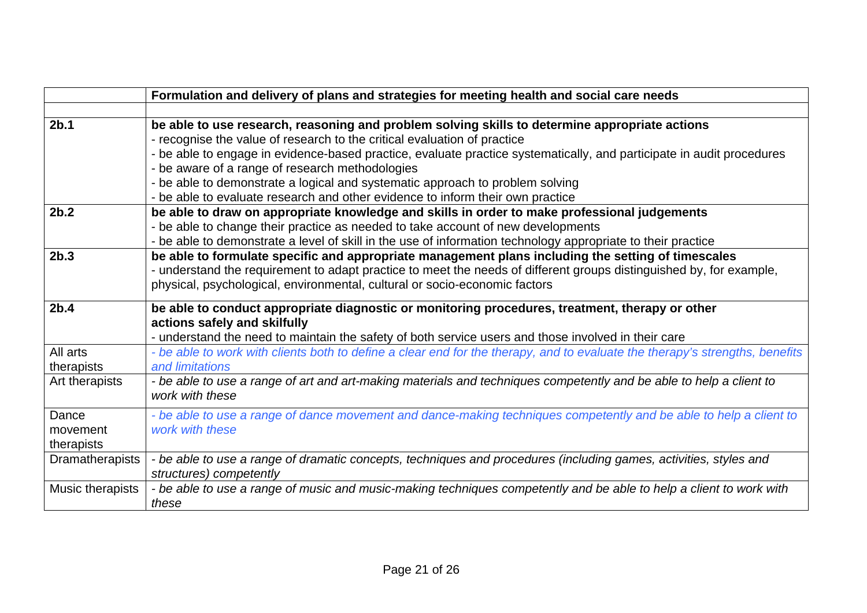|                  | Formulation and delivery of plans and strategies for meeting health and social care needs                                    |
|------------------|------------------------------------------------------------------------------------------------------------------------------|
|                  |                                                                                                                              |
| 2b.1             | be able to use research, reasoning and problem solving skills to determine appropriate actions                               |
|                  | - recognise the value of research to the critical evaluation of practice                                                     |
|                  | - be able to engage in evidence-based practice, evaluate practice systematically, and participate in audit procedures        |
|                  | - be aware of a range of research methodologies                                                                              |
|                  | - be able to demonstrate a logical and systematic approach to problem solving                                                |
|                  | - be able to evaluate research and other evidence to inform their own practice                                               |
| 2b.2             | be able to draw on appropriate knowledge and skills in order to make professional judgements                                 |
|                  | - be able to change their practice as needed to take account of new developments                                             |
|                  | - be able to demonstrate a level of skill in the use of information technology appropriate to their practice                 |
| 2b.3             | be able to formulate specific and appropriate management plans including the setting of timescales                           |
|                  | - understand the requirement to adapt practice to meet the needs of different groups distinguished by, for example,          |
|                  | physical, psychological, environmental, cultural or socio-economic factors                                                   |
| 2b.4             | be able to conduct appropriate diagnostic or monitoring procedures, treatment, therapy or other                              |
|                  | actions safely and skilfully                                                                                                 |
|                  | - understand the need to maintain the safety of both service users and those involved in their care                          |
| All arts         | - be able to work with clients both to define a clear end for the therapy, and to evaluate the therapy's strengths, benefits |
| therapists       | and limitations                                                                                                              |
| Art therapists   | - be able to use a range of art and art-making materials and techniques competently and be able to help a client to          |
|                  | work with these                                                                                                              |
| Dance            | - be able to use a range of dance movement and dance-making techniques competently and be able to help a client to           |
| movement         | work with these                                                                                                              |
| therapists       |                                                                                                                              |
| Dramatherapists  | - be able to use a range of dramatic concepts, techniques and procedures (including games, activities, styles and            |
|                  | structures) competently                                                                                                      |
| Music therapists | - be able to use a range of music and music-making techniques competently and be able to help a client to work with          |
|                  | these                                                                                                                        |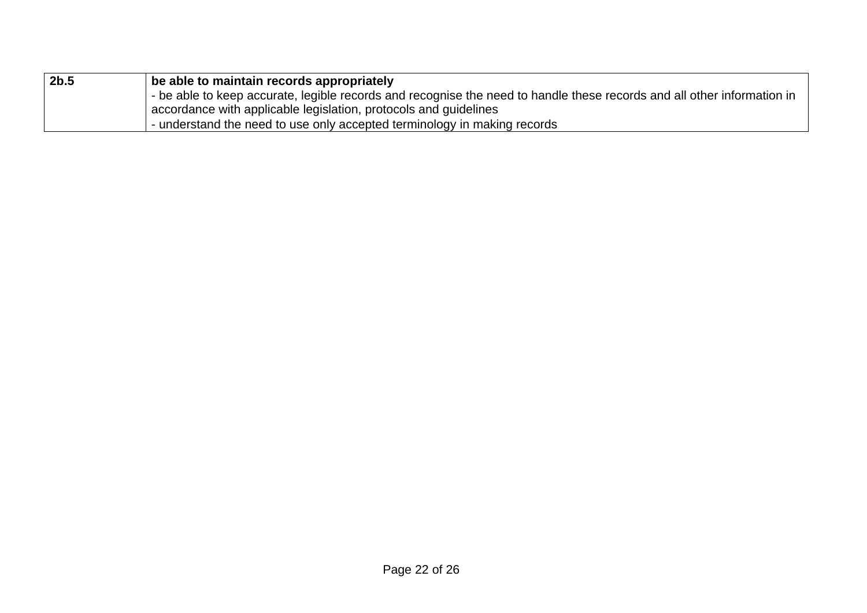| 2b.5 | be able to maintain records appropriately                                                                                 |
|------|---------------------------------------------------------------------------------------------------------------------------|
|      | I - be able to keep accurate, legible records and recognise the need to handle these records and all other information in |
|      | accordance with applicable legislation, protocols and guidelines                                                          |
|      | - understand the need to use only accepted terminology in making records                                                  |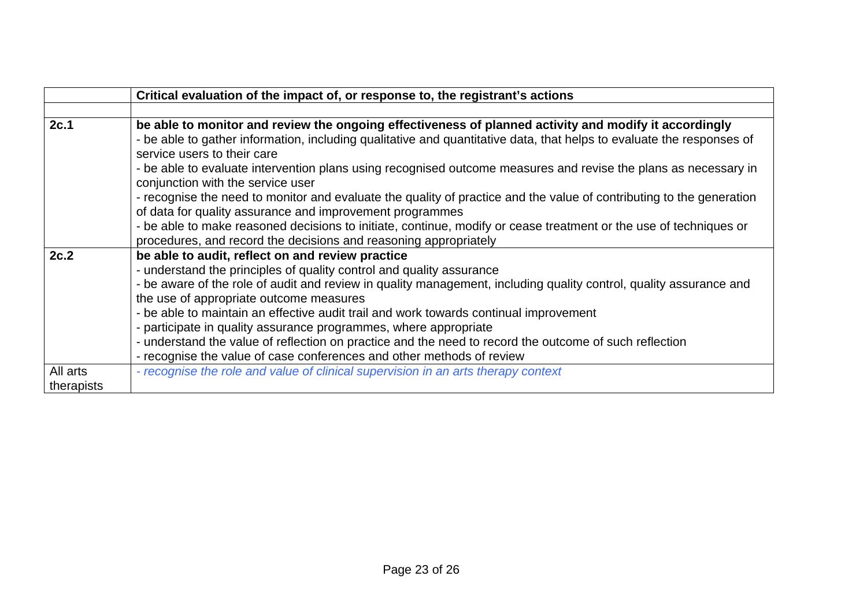|            | Critical evaluation of the impact of, or response to, the registrant's actions                                                                                                   |
|------------|----------------------------------------------------------------------------------------------------------------------------------------------------------------------------------|
|            |                                                                                                                                                                                  |
| 2c.1       | be able to monitor and review the ongoing effectiveness of planned activity and modify it accordingly                                                                            |
|            | - be able to gather information, including qualitative and quantitative data, that helps to evaluate the responses of<br>service users to their care                             |
|            | - be able to evaluate intervention plans using recognised outcome measures and revise the plans as necessary in<br>conjunction with the service user                             |
|            | - recognise the need to monitor and evaluate the quality of practice and the value of contributing to the generation<br>of data for quality assurance and improvement programmes |
|            | - be able to make reasoned decisions to initiate, continue, modify or cease treatment or the use of techniques or                                                                |
|            | procedures, and record the decisions and reasoning appropriately                                                                                                                 |
| 2c.2       | be able to audit, reflect on and review practice                                                                                                                                 |
|            | - understand the principles of quality control and quality assurance                                                                                                             |
|            | - be aware of the role of audit and review in quality management, including quality control, quality assurance and                                                               |
|            | the use of appropriate outcome measures                                                                                                                                          |
|            | - be able to maintain an effective audit trail and work towards continual improvement                                                                                            |
|            | - participate in quality assurance programmes, where appropriate                                                                                                                 |
|            | - understand the value of reflection on practice and the need to record the outcome of such reflection                                                                           |
|            | - recognise the value of case conferences and other methods of review                                                                                                            |
| All arts   | - recognise the role and value of clinical supervision in an arts therapy context                                                                                                |
| therapists |                                                                                                                                                                                  |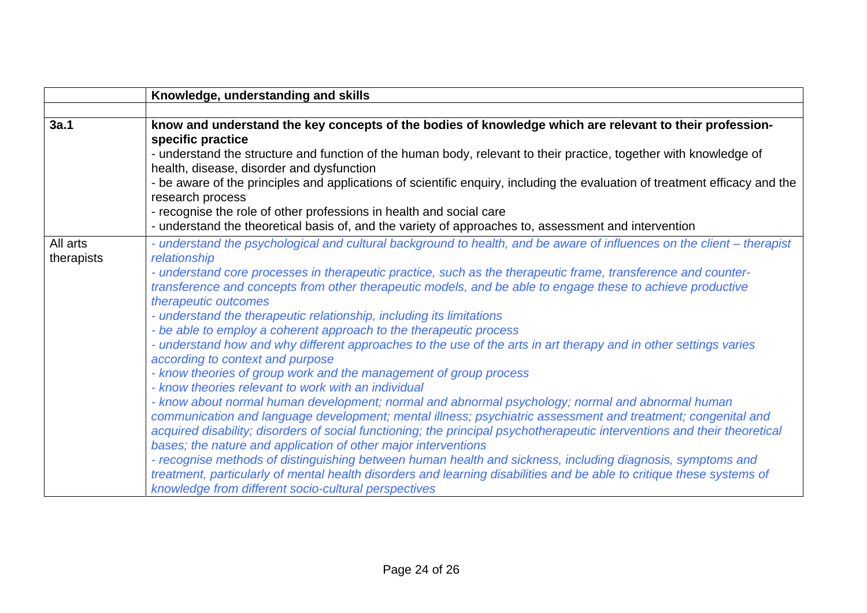|                        | Knowledge, understanding and skills                                                                                                                                                                                                                                                                                                                                                                                                                                                                                                                                                                                                                                                                                                                                                                                                                                                                                                                                                                                                                                                                                                                                                                                                                                                                                                                                                                                                                                                                                                               |
|------------------------|---------------------------------------------------------------------------------------------------------------------------------------------------------------------------------------------------------------------------------------------------------------------------------------------------------------------------------------------------------------------------------------------------------------------------------------------------------------------------------------------------------------------------------------------------------------------------------------------------------------------------------------------------------------------------------------------------------------------------------------------------------------------------------------------------------------------------------------------------------------------------------------------------------------------------------------------------------------------------------------------------------------------------------------------------------------------------------------------------------------------------------------------------------------------------------------------------------------------------------------------------------------------------------------------------------------------------------------------------------------------------------------------------------------------------------------------------------------------------------------------------------------------------------------------------|
|                        |                                                                                                                                                                                                                                                                                                                                                                                                                                                                                                                                                                                                                                                                                                                                                                                                                                                                                                                                                                                                                                                                                                                                                                                                                                                                                                                                                                                                                                                                                                                                                   |
| 3a.1                   | know and understand the key concepts of the bodies of knowledge which are relevant to their profession-<br>specific practice<br>- understand the structure and function of the human body, relevant to their practice, together with knowledge of<br>health, disease, disorder and dysfunction<br>- be aware of the principles and applications of scientific enquiry, including the evaluation of treatment efficacy and the<br>research process<br>- recognise the role of other professions in health and social care<br>- understand the theoretical basis of, and the variety of approaches to, assessment and intervention                                                                                                                                                                                                                                                                                                                                                                                                                                                                                                                                                                                                                                                                                                                                                                                                                                                                                                                  |
| All arts<br>therapists | - understand the psychological and cultural background to health, and be aware of influences on the client – therapist<br>relationship<br>- understand core processes in therapeutic practice, such as the therapeutic frame, transference and counter-<br>transference and concepts from other therapeutic models, and be able to engage these to achieve productive<br>therapeutic outcomes<br>- understand the therapeutic relationship, including its limitations<br>- be able to employ a coherent approach to the therapeutic process<br>- understand how and why different approaches to the use of the arts in art therapy and in other settings varies<br>according to context and purpose<br>- know theories of group work and the management of group process<br>- know theories relevant to work with an individual<br>- know about normal human development; normal and abnormal psychology; normal and abnormal human<br>communication and language development; mental illness; psychiatric assessment and treatment; congenital and<br>acquired disability; disorders of social functioning; the principal psychotherapeutic interventions and their theoretical<br>bases; the nature and application of other major interventions<br>- recognise methods of distinguishing between human health and sickness, including diagnosis, symptoms and<br>treatment, particularly of mental health disorders and learning disabilities and be able to critique these systems of<br>knowledge from different socio-cultural perspectives |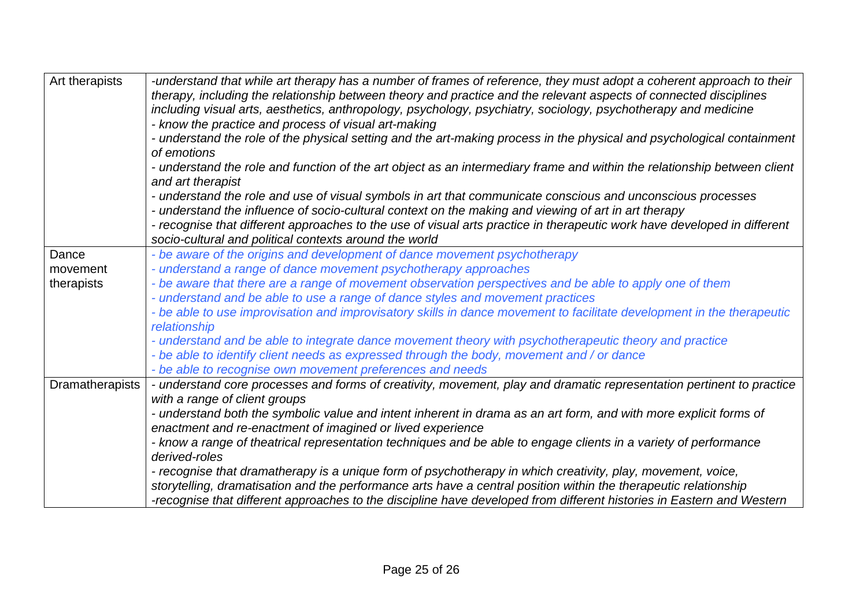| Art therapists  | -understand that while art therapy has a number of frames of reference, they must adopt a coherent approach to their<br>therapy, including the relationship between theory and practice and the relevant aspects of connected disciplines<br>including visual arts, aesthetics, anthropology, psychology, psychiatry, sociology, psychotherapy and medicine<br>- know the practice and process of visual art-making<br>- understand the role of the physical setting and the art-making process in the physical and psychological containment |
|-----------------|-----------------------------------------------------------------------------------------------------------------------------------------------------------------------------------------------------------------------------------------------------------------------------------------------------------------------------------------------------------------------------------------------------------------------------------------------------------------------------------------------------------------------------------------------|
|                 | of emotions                                                                                                                                                                                                                                                                                                                                                                                                                                                                                                                                   |
|                 | - understand the role and function of the art object as an intermediary frame and within the relationship between client                                                                                                                                                                                                                                                                                                                                                                                                                      |
|                 | and art therapist                                                                                                                                                                                                                                                                                                                                                                                                                                                                                                                             |
|                 | - understand the role and use of visual symbols in art that communicate conscious and unconscious processes                                                                                                                                                                                                                                                                                                                                                                                                                                   |
|                 | - understand the influence of socio-cultural context on the making and viewing of art in art therapy                                                                                                                                                                                                                                                                                                                                                                                                                                          |
|                 | - recognise that different approaches to the use of visual arts practice in therapeutic work have developed in different<br>socio-cultural and political contexts around the world                                                                                                                                                                                                                                                                                                                                                            |
| Dance           | - be aware of the origins and development of dance movement psychotherapy                                                                                                                                                                                                                                                                                                                                                                                                                                                                     |
| movement        | - understand a range of dance movement psychotherapy approaches                                                                                                                                                                                                                                                                                                                                                                                                                                                                               |
| therapists      | - be aware that there are a range of movement observation perspectives and be able to apply one of them                                                                                                                                                                                                                                                                                                                                                                                                                                       |
|                 | - understand and be able to use a range of dance styles and movement practices                                                                                                                                                                                                                                                                                                                                                                                                                                                                |
|                 | - be able to use improvisation and improvisatory skills in dance movement to facilitate development in the therapeutic<br>relationship                                                                                                                                                                                                                                                                                                                                                                                                        |
|                 | - understand and be able to integrate dance movement theory with psychotherapeutic theory and practice                                                                                                                                                                                                                                                                                                                                                                                                                                        |
|                 | - be able to identify client needs as expressed through the body, movement and / or dance                                                                                                                                                                                                                                                                                                                                                                                                                                                     |
|                 | - be able to recognise own movement preferences and needs                                                                                                                                                                                                                                                                                                                                                                                                                                                                                     |
| Dramatherapists | - understand core processes and forms of creativity, movement, play and dramatic representation pertinent to practice                                                                                                                                                                                                                                                                                                                                                                                                                         |
|                 | with a range of client groups                                                                                                                                                                                                                                                                                                                                                                                                                                                                                                                 |
|                 | - understand both the symbolic value and intent inherent in drama as an art form, and with more explicit forms of                                                                                                                                                                                                                                                                                                                                                                                                                             |
|                 | enactment and re-enactment of imagined or lived experience                                                                                                                                                                                                                                                                                                                                                                                                                                                                                    |
|                 | - know a range of theatrical representation techniques and be able to engage clients in a variety of performance<br>derived-roles                                                                                                                                                                                                                                                                                                                                                                                                             |
|                 | - recognise that dramatherapy is a unique form of psychotherapy in which creativity, play, movement, voice,                                                                                                                                                                                                                                                                                                                                                                                                                                   |
|                 | storytelling, dramatisation and the performance arts have a central position within the therapeutic relationship                                                                                                                                                                                                                                                                                                                                                                                                                              |
|                 | -recognise that different approaches to the discipline have developed from different histories in Eastern and Western                                                                                                                                                                                                                                                                                                                                                                                                                         |